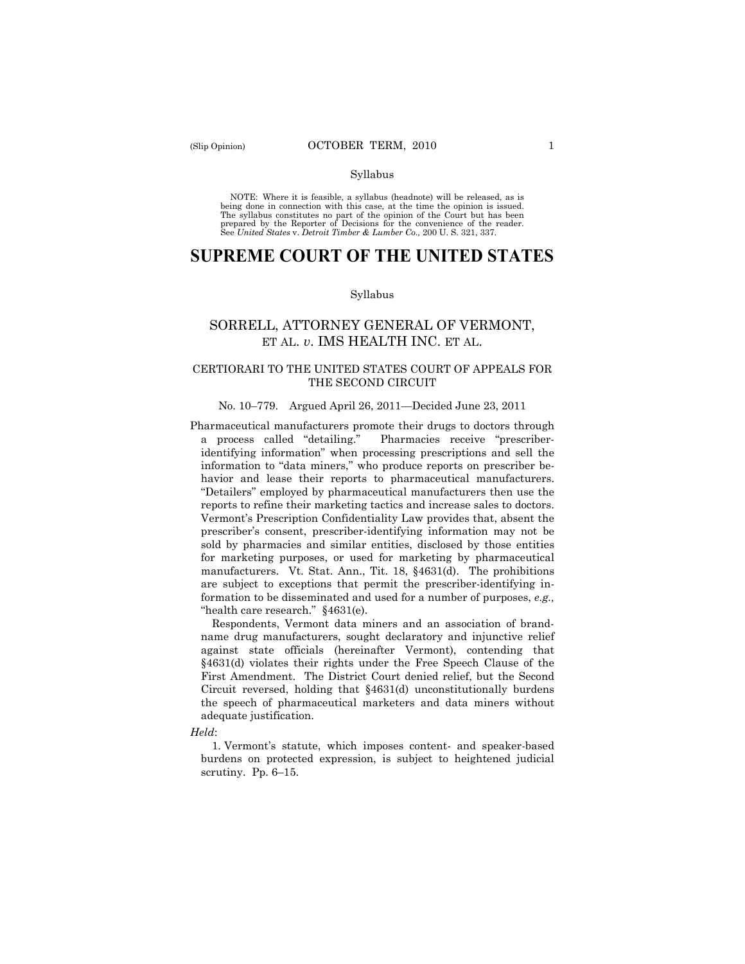NOTE: Where it is feasible, a syllabus (headnote) will be released, as is being done in connection with this case, at the time the opinion is issued. The syllabus constitutes no part of the opinion of the Court but has been<br>prepared by the Reporter of Decisions for the convenience of the reader.<br>See United States v. Detroit Timber & Lumber Co., 200 U. S. 321, 337.

# **SUPREME COURT OF THE UNITED STATES**

#### Syllabus

# SORRELL, ATTORNEY GENERAL OF VERMONT, ET AL. *v*. IMS HEALTH INC. ET AL.

# CERTIORARI TO THE UNITED STATES COURT OF APPEALS FOR THE SECOND CIRCUIT

## No. 10–779. Argued April 26, 2011—Decided June 23, 2011

Pharmaceutical manufacturers promote their drugs to doctors through a process called "detailing." Pharmacies receive "prescriberidentifying information" when processing prescriptions and sell the information to "data miners," who produce reports on prescriber behavior and lease their reports to pharmaceutical manufacturers. "Detailers" employed by pharmaceutical manufacturers then use the reports to refine their marketing tactics and increase sales to doctors. Vermont's Prescription Confidentiality Law provides that, absent the prescriber's consent, prescriber-identifying information may not be sold by pharmacies and similar entities, disclosed by those entities for marketing purposes, or used for marketing by pharmaceutical manufacturers. Vt. Stat. Ann., Tit. 18, §4631(d). The prohibitions are subject to exceptions that permit the prescriber-identifying information to be disseminated and used for a number of purposes, *e.g.,*  "health care research." §4631(e).

Respondents, Vermont data miners and an association of brandname drug manufacturers, sought declaratory and injunctive relief against state officials (hereinafter Vermont), contending that §4631(d) violates their rights under the Free Speech Clause of the First Amendment. The District Court denied relief, but the Second Circuit reversed, holding that §4631(d) unconstitutionally burdens the speech of pharmaceutical marketers and data miners without adequate justification.

#### *Held*:

1. Vermont's statute, which imposes content- and speaker-based burdens on protected expression, is subject to heightened judicial scrutiny. Pp. 6–15.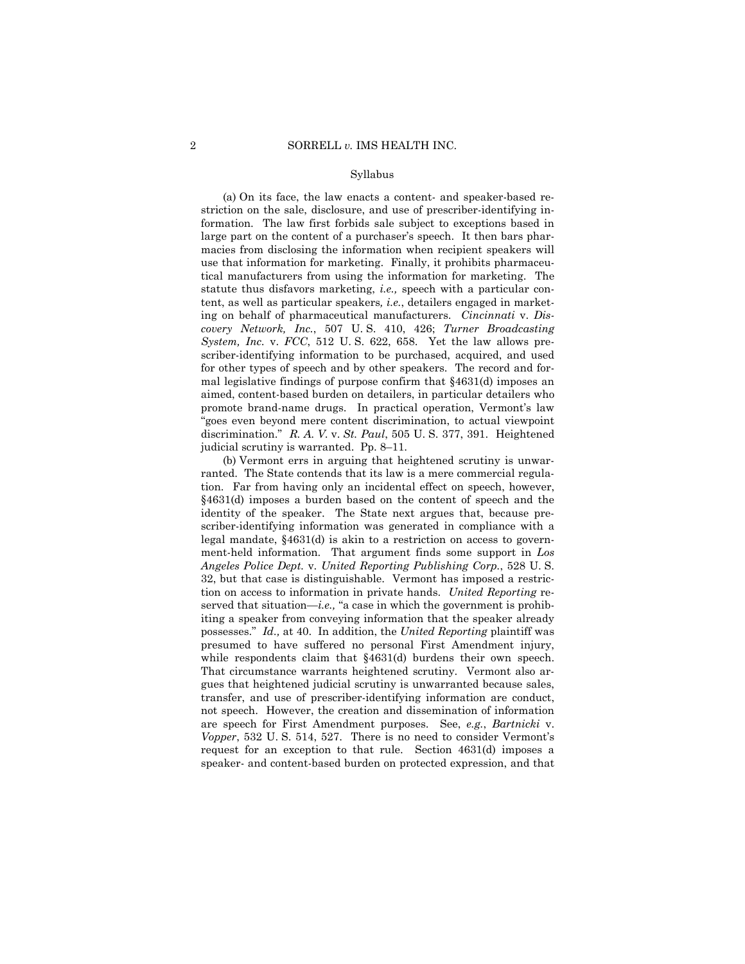(a) On its face, the law enacts a content- and speaker-based restriction on the sale, disclosure, and use of prescriber-identifying information. The law first forbids sale subject to exceptions based in large part on the content of a purchaser's speech. It then bars pharmacies from disclosing the information when recipient speakers will use that information for marketing. Finally, it prohibits pharmaceutical manufacturers from using the information for marketing. The statute thus disfavors marketing, *i.e.,* speech with a particular content, as well as particular speakers*, i.e.*, detailers engaged in marketing on behalf of pharmaceutical manufacturers. *Cincinnati* v. *Discovery Network, Inc.*, 507 U. S. 410, 426; *Turner Broadcasting System, Inc.* v. *FCC*, 512 U. S. 622, 658. Yet the law allows prescriber-identifying information to be purchased, acquired, and used for other types of speech and by other speakers. The record and formal legislative findings of purpose confirm that §4631(d) imposes an aimed, content-based burden on detailers, in particular detailers who promote brand-name drugs. In practical operation, Vermont's law "goes even beyond mere content discrimination, to actual viewpoint discrimination." *R. A. V.* v. *St. Paul*, 505 U. S. 377, 391. Heightened judicial scrutiny is warranted. Pp. 8–11.

(b) Vermont errs in arguing that heightened scrutiny is unwarranted. The State contends that its law is a mere commercial regulation. Far from having only an incidental effect on speech, however, §4631(d) imposes a burden based on the content of speech and the identity of the speaker. The State next argues that, because prescriber-identifying information was generated in compliance with a legal mandate, §4631(d) is akin to a restriction on access to government-held information. That argument finds some support in *Los Angeles Police Dept.* v. *United Reporting Publishing Corp.*, 528 U. S. 32, but that case is distinguishable. Vermont has imposed a restriction on access to information in private hands. *United Reporting* reserved that situation—*i.e.*, "a case in which the government is prohibiting a speaker from conveying information that the speaker already possesses." *Id.,* at 40. In addition, the *United Reporting* plaintiff was presumed to have suffered no personal First Amendment injury, while respondents claim that  $§4631(d)$  burdens their own speech. That circumstance warrants heightened scrutiny. Vermont also argues that heightened judicial scrutiny is unwarranted because sales, transfer, and use of prescriber-identifying information are conduct, not speech. However, the creation and dissemination of information are speech for First Amendment purposes. See, *e.g.*, *Bartnicki* v. *Vopper*, 532 U. S. 514, 527. There is no need to consider Vermont's request for an exception to that rule. Section 4631(d) imposes a speaker- and content-based burden on protected expression, and that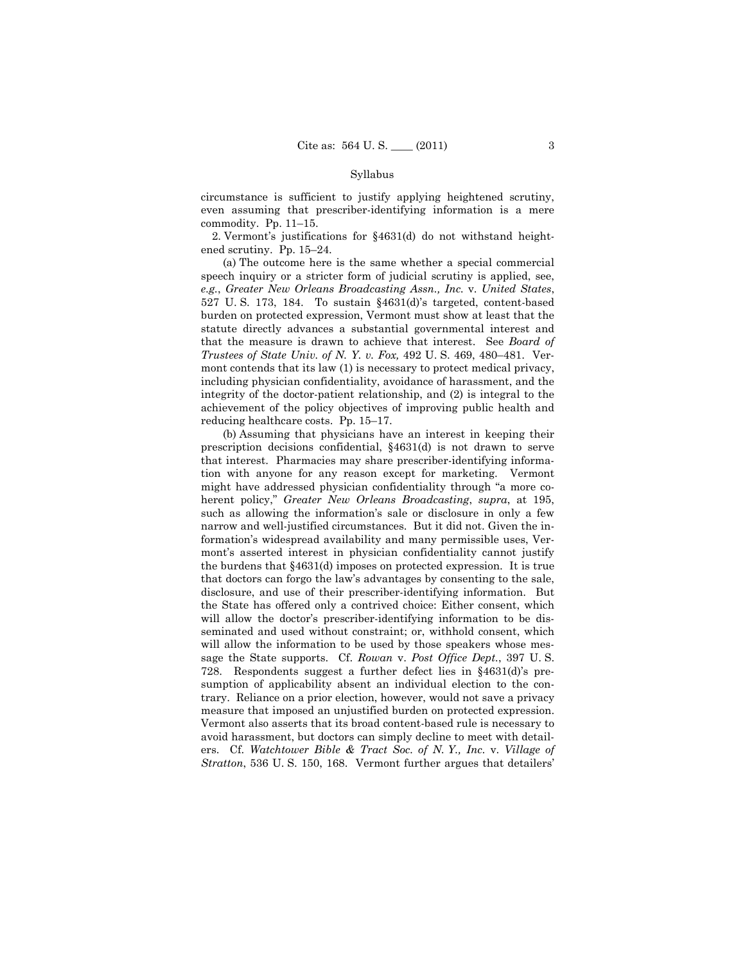circumstance is sufficient to justify applying heightened scrutiny, even assuming that prescriber-identifying information is a mere commodity. Pp. 11–15.

2. Vermont's justifications for §4631(d) do not withstand heightened scrutiny. Pp. 15–24.

(a) The outcome here is the same whether a special commercial speech inquiry or a stricter form of judicial scrutiny is applied, see, *e.g.*, *Greater New Orleans Broadcasting Assn., Inc.* v. *United States*, 527 U. S. 173, 184. To sustain §4631(d)'s targeted, content-based burden on protected expression, Vermont must show at least that the statute directly advances a substantial governmental interest and that the measure is drawn to achieve that interest. See *Board of Trustees of State Univ. of N. Y. v. Fox,* 492 U. S. 469, 480–481. Vermont contends that its law (1) is necessary to protect medical privacy, including physician confidentiality, avoidance of harassment, and the integrity of the doctor-patient relationship, and (2) is integral to the achievement of the policy objectives of improving public health and reducing healthcare costs. Pp. 15–17.

(b) Assuming that physicians have an interest in keeping their prescription decisions confidential, §4631(d) is not drawn to serve that interest. Pharmacies may share prescriber-identifying information with anyone for any reason except for marketing. Vermont might have addressed physician confidentiality through "a more coherent policy," *Greater New Orleans Broadcasting*, *supra*, at 195, such as allowing the information's sale or disclosure in only a few narrow and well-justified circumstances. But it did not. Given the information's widespread availability and many permissible uses, Vermont's asserted interest in physician confidentiality cannot justify the burdens that §4631(d) imposes on protected expression. It is true that doctors can forgo the law's advantages by consenting to the sale, disclosure, and use of their prescriber-identifying information. But the State has offered only a contrived choice: Either consent, which will allow the doctor's prescriber-identifying information to be disseminated and used without constraint; or, withhold consent, which will allow the information to be used by those speakers whose message the State supports. Cf. *Rowan* v. *Post Office Dept.*, 397 U. S. 728. Respondents suggest a further defect lies in §4631(d)'s presumption of applicability absent an individual election to the contrary. Reliance on a prior election, however, would not save a privacy measure that imposed an unjustified burden on protected expression. Vermont also asserts that its broad content-based rule is necessary to avoid harassment, but doctors can simply decline to meet with detailers. Cf. *Watchtower Bible & Tract Soc. of N. Y., Inc.* v. *Village of Stratton*, 536 U. S. 150, 168. Vermont further argues that detailers'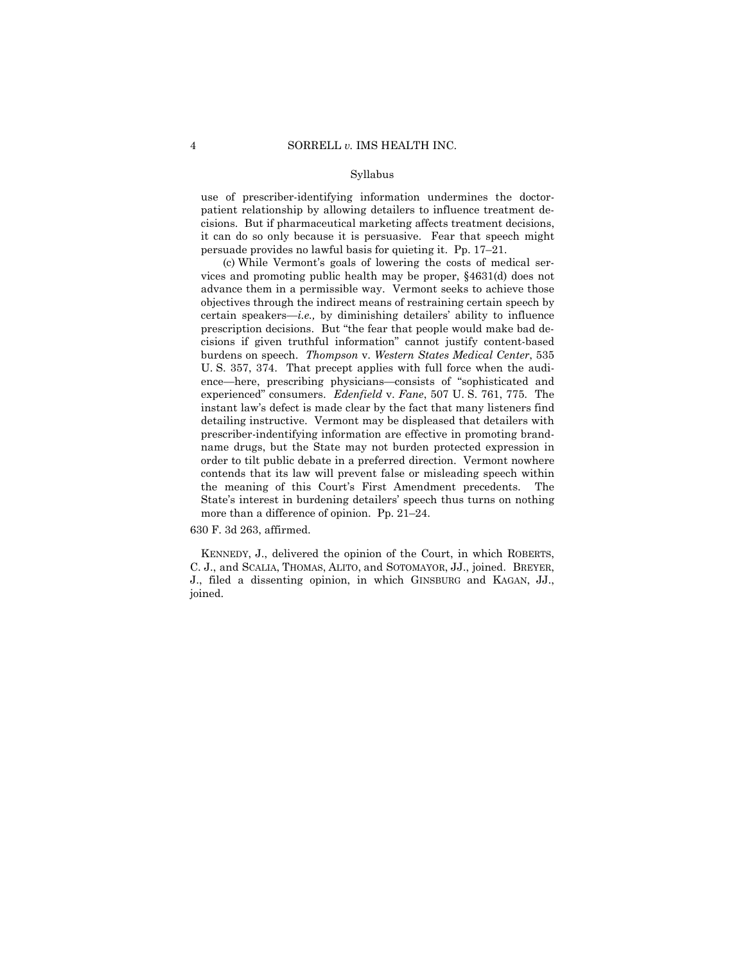use of prescriber-identifying information undermines the doctorpatient relationship by allowing detailers to influence treatment decisions. But if pharmaceutical marketing affects treatment decisions, it can do so only because it is persuasive. Fear that speech might persuade provides no lawful basis for quieting it. Pp. 17–21.

(c) While Vermont's goals of lowering the costs of medical services and promoting public health may be proper, §4631(d) does not advance them in a permissible way. Vermont seeks to achieve those objectives through the indirect means of restraining certain speech by certain speakers—*i.e.,* by diminishing detailers' ability to influence prescription decisions. But "the fear that people would make bad decisions if given truthful information" cannot justify content-based burdens on speech. *Thompson* v. *Western States Medical Center*, 535 U. S. 357, 374. That precept applies with full force when the audience—here, prescribing physicians—consists of "sophisticated and experienced" consumers. *Edenfield* v. *Fane*, 507 U. S. 761, 775. The instant law's defect is made clear by the fact that many listeners find detailing instructive. Vermont may be displeased that detailers with prescriber-indentifying information are effective in promoting brandname drugs, but the State may not burden protected expression in order to tilt public debate in a preferred direction. Vermont nowhere contends that its law will prevent false or misleading speech within the meaning of this Court's First Amendment precedents. The State's interest in burdening detailers' speech thus turns on nothing more than a difference of opinion. Pp. 21–24.

630 F. 3d 263, affirmed.

KENNEDY, J., delivered the opinion of the Court, in which ROBERTS, C. J., and SCALIA, THOMAS, ALITO, and SOTOMAYOR, JJ., joined. BREYER, J., filed a dissenting opinion, in which GINSBURG and KAGAN, JJ., joined.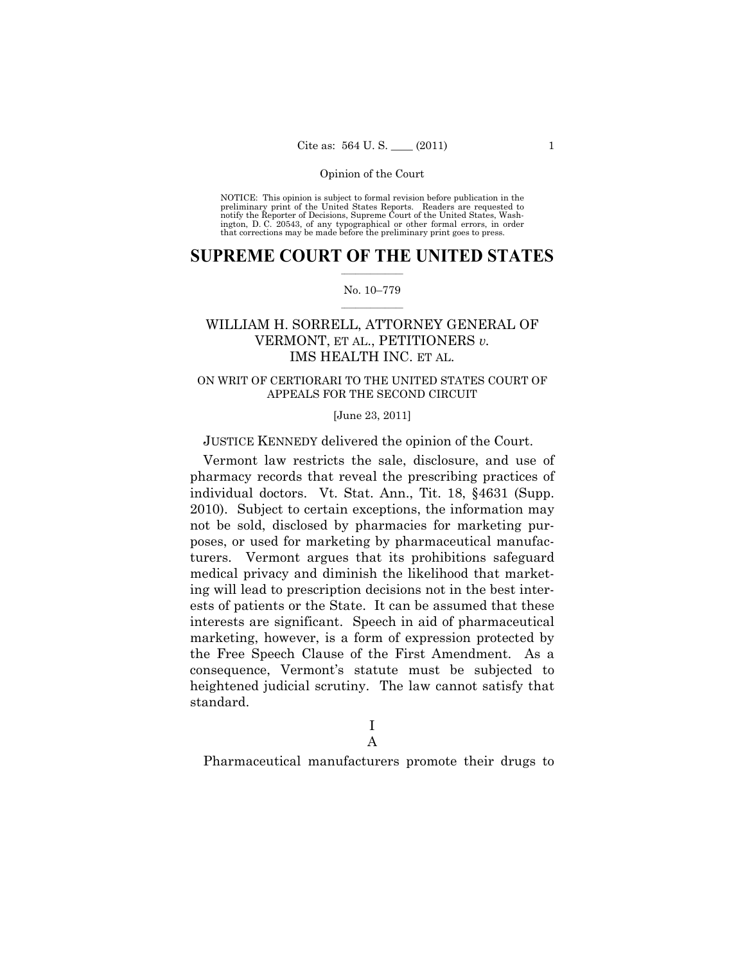NOTICE: This opinion is subject to formal revision before publication in the preliminary print of the United States Reports. Readers are requested to notify the Reporter of Decisions, Supreme Court of the United States, Washington, D. C. 20543, of any typographical or other formal errors, in order that corrections may be made before the preliminary print goes to press.

## $\frac{1}{2}$  ,  $\frac{1}{2}$  ,  $\frac{1}{2}$  ,  $\frac{1}{2}$  ,  $\frac{1}{2}$  ,  $\frac{1}{2}$  ,  $\frac{1}{2}$ **SUPREME COURT OF THE UNITED STATES**

## $\frac{1}{2}$  ,  $\frac{1}{2}$  ,  $\frac{1}{2}$  ,  $\frac{1}{2}$  ,  $\frac{1}{2}$  ,  $\frac{1}{2}$ No. 10–779

# WILLIAM H. SORRELL, ATTORNEY GENERAL OF VERMONT, ET AL., PETITIONERS *v.* IMS HEALTH INC. ET AL.

# ON WRIT OF CERTIORARI TO THE UNITED STATES COURT OF APPEALS FOR THE SECOND CIRCUIT

# [June 23, 2011]

# JUSTICE KENNEDY delivered the opinion of the Court.

Vermont law restricts the sale, disclosure, and use of pharmacy records that reveal the prescribing practices of individual doctors. Vt. Stat. Ann., Tit. 18, §4631 (Supp. 2010). Subject to certain exceptions, the information may not be sold, disclosed by pharmacies for marketing purposes, or used for marketing by pharmaceutical manufacturers. Vermont argues that its prohibitions safeguard medical privacy and diminish the likelihood that marketing will lead to prescription decisions not in the best interests of patients or the State. It can be assumed that these interests are significant. Speech in aid of pharmaceutical marketing, however, is a form of expression protected by the Free Speech Clause of the First Amendment. As a consequence, Vermont's statute must be subjected to heightened judicial scrutiny. The law cannot satisfy that standard.

# I A

Pharmaceutical manufacturers promote their drugs to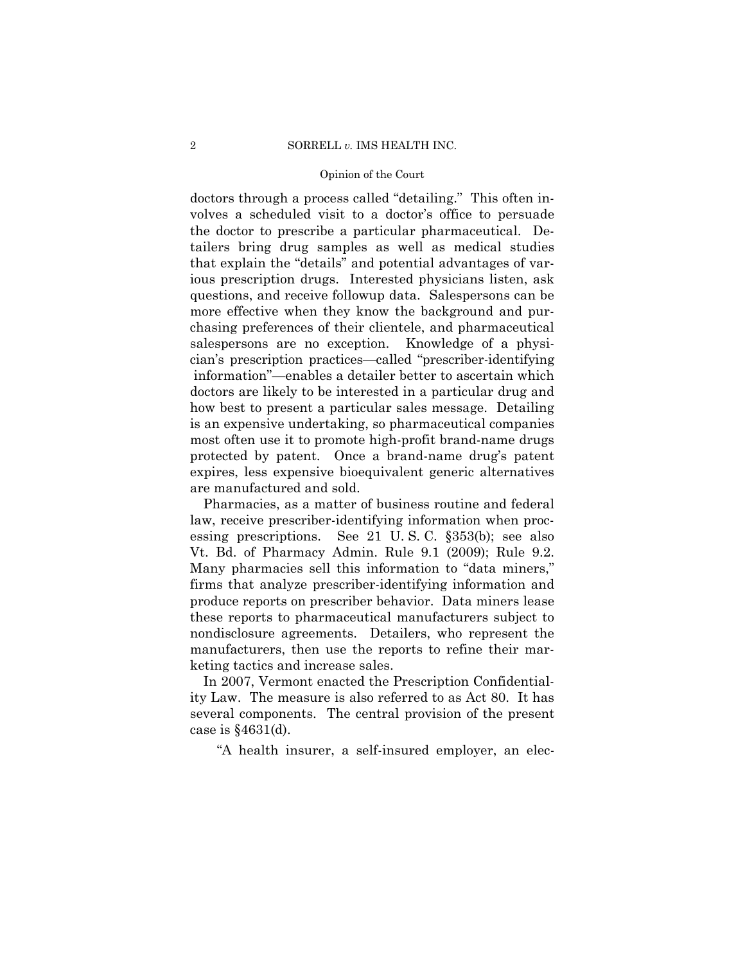doctors through a process called "detailing." This often involves a scheduled visit to a doctor's office to persuade the doctor to prescribe a particular pharmaceutical. Detailers bring drug samples as well as medical studies that explain the "details" and potential advantages of various prescription drugs. Interested physicians listen, ask questions, and receive followup data. Salespersons can be more effective when they know the background and purchasing preferences of their clientele, and pharmaceutical salespersons are no exception. Knowledge of a physician's prescription practices—called "prescriber-identifying information"—enables a detailer better to ascertain which doctors are likely to be interested in a particular drug and how best to present a particular sales message. Detailing is an expensive undertaking, so pharmaceutical companies most often use it to promote high-profit brand-name drugs protected by patent. Once a brand-name drug's patent expires, less expensive bioequivalent generic alternatives are manufactured and sold.

Pharmacies, as a matter of business routine and federal law, receive prescriber-identifying information when processing prescriptions. See 21 U. S. C. §353(b); see also Vt. Bd. of Pharmacy Admin. Rule 9.1 (2009); Rule 9.2. Many pharmacies sell this information to "data miners," firms that analyze prescriber-identifying information and produce reports on prescriber behavior. Data miners lease these reports to pharmaceutical manufacturers subject to nondisclosure agreements. Detailers, who represent the manufacturers, then use the reports to refine their marketing tactics and increase sales.

In 2007, Vermont enacted the Prescription Confidentiality Law. The measure is also referred to as Act 80. It has several components. The central provision of the present case is §4631(d).

"A health insurer, a self-insured employer, an elec-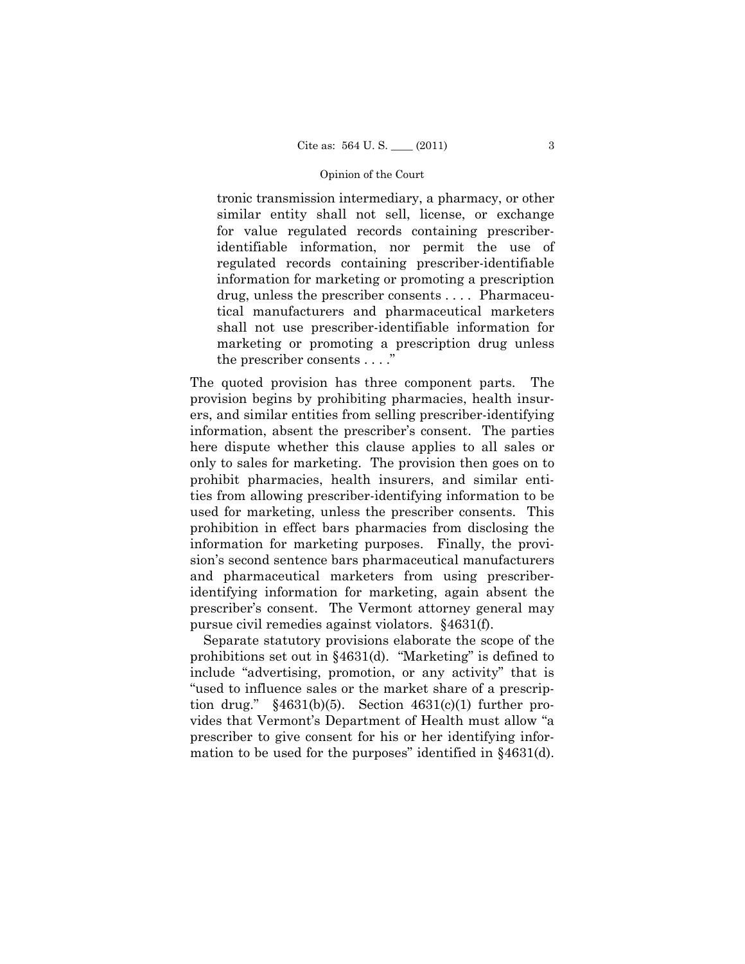tronic transmission intermediary, a pharmacy, or other similar entity shall not sell, license, or exchange for value regulated records containing prescriberidentifiable information, nor permit the use of regulated records containing prescriber-identifiable information for marketing or promoting a prescription drug, unless the prescriber consents . . . . Pharmaceutical manufacturers and pharmaceutical marketers shall not use prescriber-identifiable information for marketing or promoting a prescription drug unless the prescriber consents . . . ."

The quoted provision has three component parts. The provision begins by prohibiting pharmacies, health insurers, and similar entities from selling prescriber-identifying information, absent the prescriber's consent. The parties here dispute whether this clause applies to all sales or only to sales for marketing. The provision then goes on to prohibit pharmacies, health insurers, and similar entities from allowing prescriber-identifying information to be used for marketing, unless the prescriber consents. This prohibition in effect bars pharmacies from disclosing the information for marketing purposes. Finally, the provision's second sentence bars pharmaceutical manufacturers and pharmaceutical marketers from using prescriberidentifying information for marketing, again absent the prescriber's consent. The Vermont attorney general may pursue civil remedies against violators. §4631(f).

Separate statutory provisions elaborate the scope of the prohibitions set out in §4631(d). "Marketing" is defined to include "advertising, promotion, or any activity" that is "used to influence sales or the market share of a prescription drug."  $§4631(b)(5)$ . Section  $4631(c)(1)$  further provides that Vermont's Department of Health must allow "a prescriber to give consent for his or her identifying information to be used for the purposes" identified in §4631(d).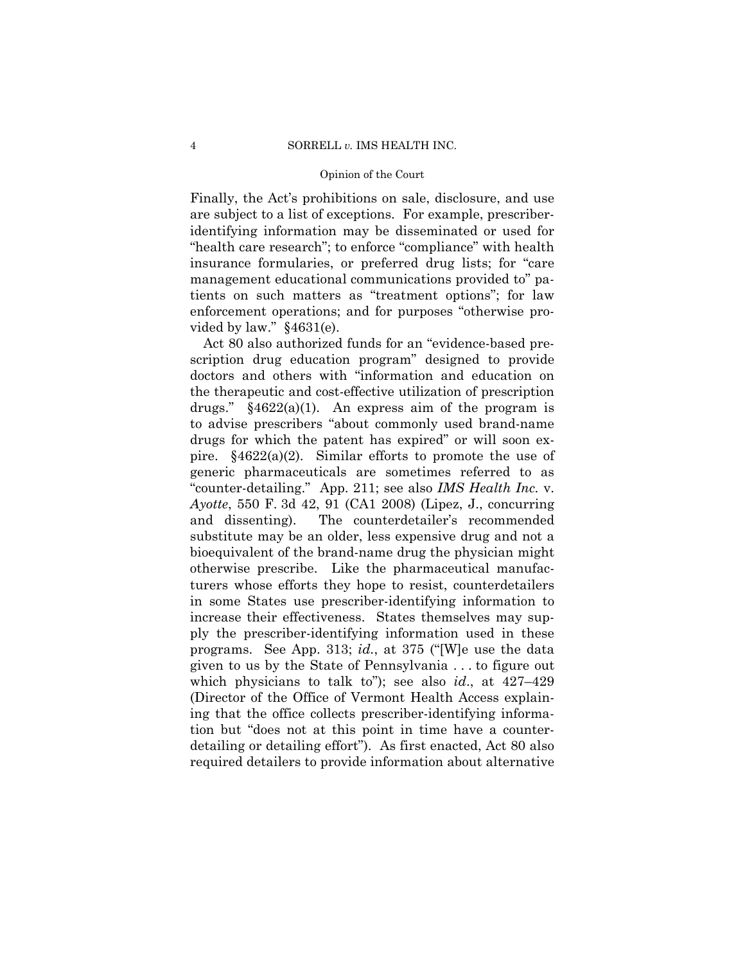Finally, the Act's prohibitions on sale, disclosure, and use are subject to a list of exceptions. For example, prescriberidentifying information may be disseminated or used for "health care research"; to enforce "compliance" with health insurance formularies, or preferred drug lists; for "care management educational communications provided to" patients on such matters as "treatment options"; for law enforcement operations; and for purposes "otherwise provided by law." §4631(e).

Act 80 also authorized funds for an "evidence-based prescription drug education program" designed to provide doctors and others with "information and education on the therapeutic and cost-effective utilization of prescription drugs."  $§4622(a)(1)$ . An express aim of the program is to advise prescribers "about commonly used brand-name drugs for which the patent has expired" or will soon expire. §4622(a)(2). Similar efforts to promote the use of generic pharmaceuticals are sometimes referred to as "counter-detailing." App. 211; see also *IMS Health Inc.* v. *Ayotte*, 550 F. 3d 42, 91 (CA1 2008) (Lipez, J., concurring and dissenting). The counterdetailer's recommended substitute may be an older, less expensive drug and not a bioequivalent of the brand-name drug the physician might otherwise prescribe. Like the pharmaceutical manufacturers whose efforts they hope to resist, counterdetailers in some States use prescriber-identifying information to increase their effectiveness. States themselves may supply the prescriber-identifying information used in these programs. See App. 313; *id.*, at 375 ("[W]e use the data given to us by the State of Pennsylvania . . . to figure out which physicians to talk to"); see also *id*., at 427–429 (Director of the Office of Vermont Health Access explaining that the office collects prescriber-identifying information but "does not at this point in time have a counterdetailing or detailing effort"). As first enacted, Act 80 also required detailers to provide information about alternative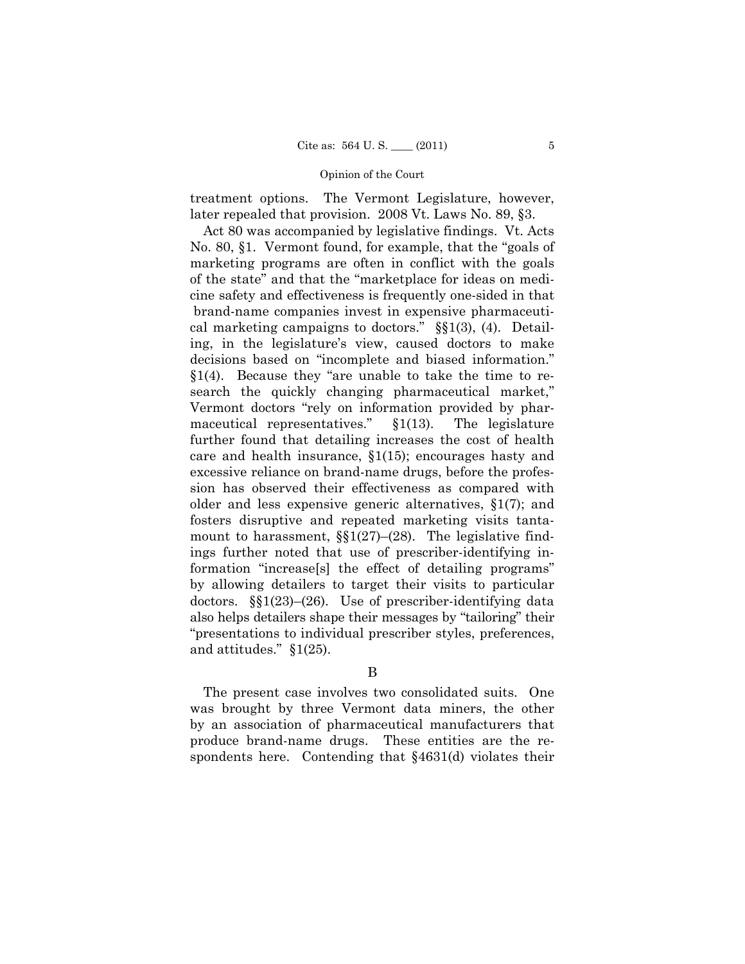treatment options. The Vermont Legislature, however, later repealed that provision. 2008 Vt. Laws No. 89, §3.

Act 80 was accompanied by legislative findings. Vt. Acts No. 80, §1. Vermont found, for example, that the "goals of marketing programs are often in conflict with the goals of the state" and that the "marketplace for ideas on medicine safety and effectiveness is frequently one-sided in that brand-name companies invest in expensive pharmaceutical marketing campaigns to doctors." §§1(3), (4). Detailing, in the legislature's view, caused doctors to make decisions based on "incomplete and biased information." §1(4). Because they "are unable to take the time to research the quickly changing pharmaceutical market," Vermont doctors "rely on information provided by pharmaceutical representatives." §1(13). The legislature further found that detailing increases the cost of health care and health insurance, §1(15); encourages hasty and excessive reliance on brand-name drugs, before the profession has observed their effectiveness as compared with older and less expensive generic alternatives, §1(7); and fosters disruptive and repeated marketing visits tantamount to harassment,  $\S(1(27)–(28)$ . The legislative findings further noted that use of prescriber-identifying information "increase[s] the effect of detailing programs" by allowing detailers to target their visits to particular doctors. §§1(23)–(26). Use of prescriber-identifying data also helps detailers shape their messages by "tailoring" their "presentations to individual prescriber styles, preferences, and attitudes." §1(25).

B

The present case involves two consolidated suits. One was brought by three Vermont data miners, the other by an association of pharmaceutical manufacturers that produce brand-name drugs. These entities are the respondents here. Contending that §4631(d) violates their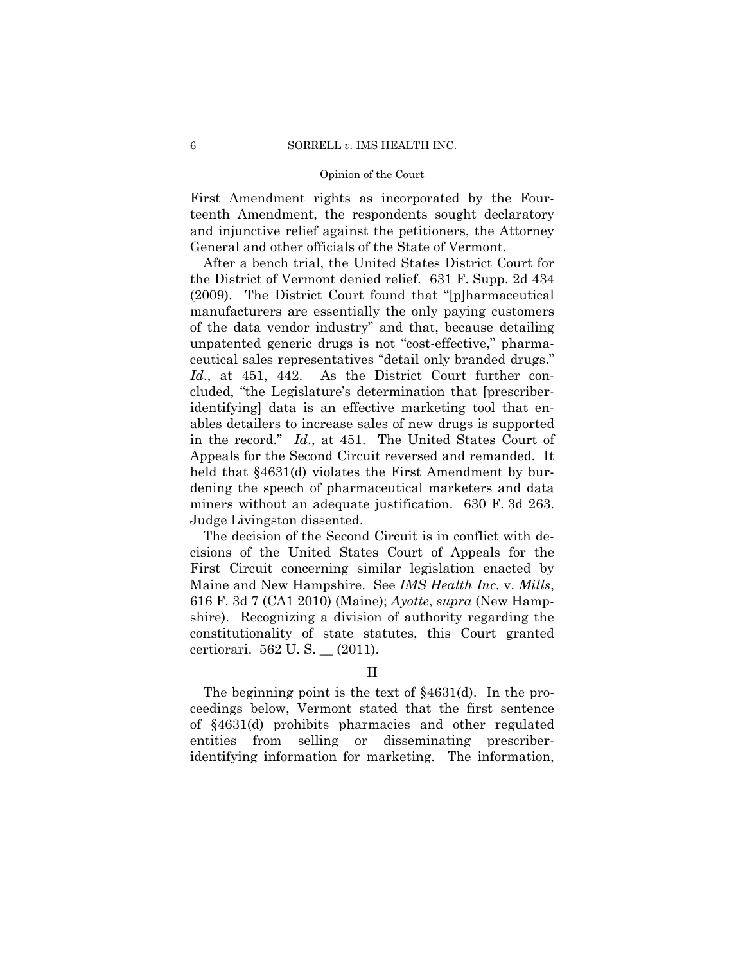First Amendment rights as incorporated by the Fourteenth Amendment, the respondents sought declaratory and injunctive relief against the petitioners, the Attorney General and other officials of the State of Vermont.

After a bench trial, the United States District Court for the District of Vermont denied relief. 631 F. Supp. 2d 434 (2009). The District Court found that "[p]harmaceutical manufacturers are essentially the only paying customers of the data vendor industry" and that, because detailing unpatented generic drugs is not "cost-effective," pharmaceutical sales representatives "detail only branded drugs." *Id*., at 451, 442. As the District Court further concluded, "the Legislature's determination that [prescriberidentifying] data is an effective marketing tool that enables detailers to increase sales of new drugs is supported in the record." *Id*., at 451. The United States Court of Appeals for the Second Circuit reversed and remanded. It held that §4631(d) violates the First Amendment by burdening the speech of pharmaceutical marketers and data miners without an adequate justification. 630 F. 3d 263. Judge Livingston dissented.

The decision of the Second Circuit is in conflict with decisions of the United States Court of Appeals for the First Circuit concerning similar legislation enacted by Maine and New Hampshire. See *IMS Health Inc.* v. *Mills*, 616 F. 3d 7 (CA1 2010) (Maine); *Ayotte*, *supra* (New Hampshire). Recognizing a division of authority regarding the constitutionality of state statutes, this Court granted certiorari. 562 U. S. \_\_ (2011).

## II

The beginning point is the text of §4631(d). In the proceedings below, Vermont stated that the first sentence of §4631(d) prohibits pharmacies and other regulated entities from selling or disseminating prescriberidentifying information for marketing. The information,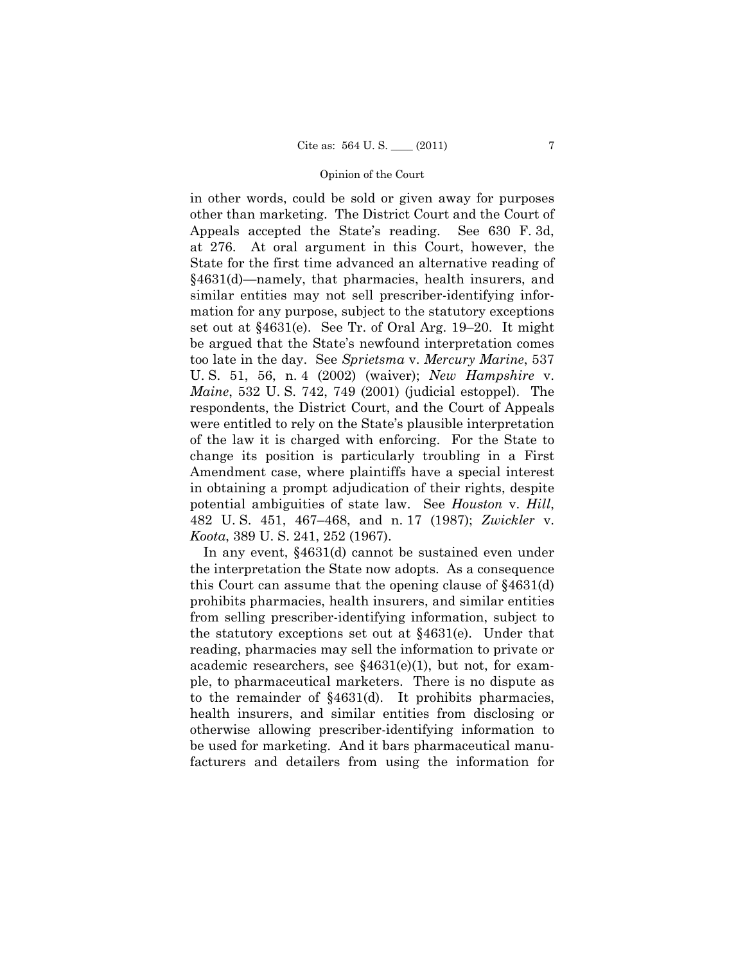in other words, could be sold or given away for purposes other than marketing. The District Court and the Court of Appeals accepted the State's reading. See 630 F. 3d, at 276. At oral argument in this Court, however, the State for the first time advanced an alternative reading of §4631(d)—namely, that pharmacies, health insurers, and similar entities may not sell prescriber-identifying information for any purpose, subject to the statutory exceptions set out at §4631(e). See Tr. of Oral Arg. 19–20. It might be argued that the State's newfound interpretation comes too late in the day. See *Sprietsma* v. *Mercury Marine*, 537 U. S. 51, 56, n. 4 (2002) (waiver); *New Hampshire* v. *Maine*, 532 U. S. 742, 749 (2001) (judicial estoppel). The respondents, the District Court, and the Court of Appeals were entitled to rely on the State's plausible interpretation of the law it is charged with enforcing. For the State to change its position is particularly troubling in a First Amendment case, where plaintiffs have a special interest in obtaining a prompt adjudication of their rights, despite potential ambiguities of state law. See *Houston* v. *Hill*, 482 U. S. 451, 467–468, and n. 17 (1987); *Zwickler* v. *Koota*, 389 U. S. 241, 252 (1967).

In any event, §4631(d) cannot be sustained even under the interpretation the State now adopts. As a consequence this Court can assume that the opening clause of §4631(d) prohibits pharmacies, health insurers, and similar entities from selling prescriber-identifying information, subject to the statutory exceptions set out at §4631(e). Under that reading, pharmacies may sell the information to private or academic researchers, see  $$4631(e)(1)$ , but not, for example, to pharmaceutical marketers. There is no dispute as to the remainder of §4631(d). It prohibits pharmacies, health insurers, and similar entities from disclosing or otherwise allowing prescriber-identifying information to be used for marketing. And it bars pharmaceutical manufacturers and detailers from using the information for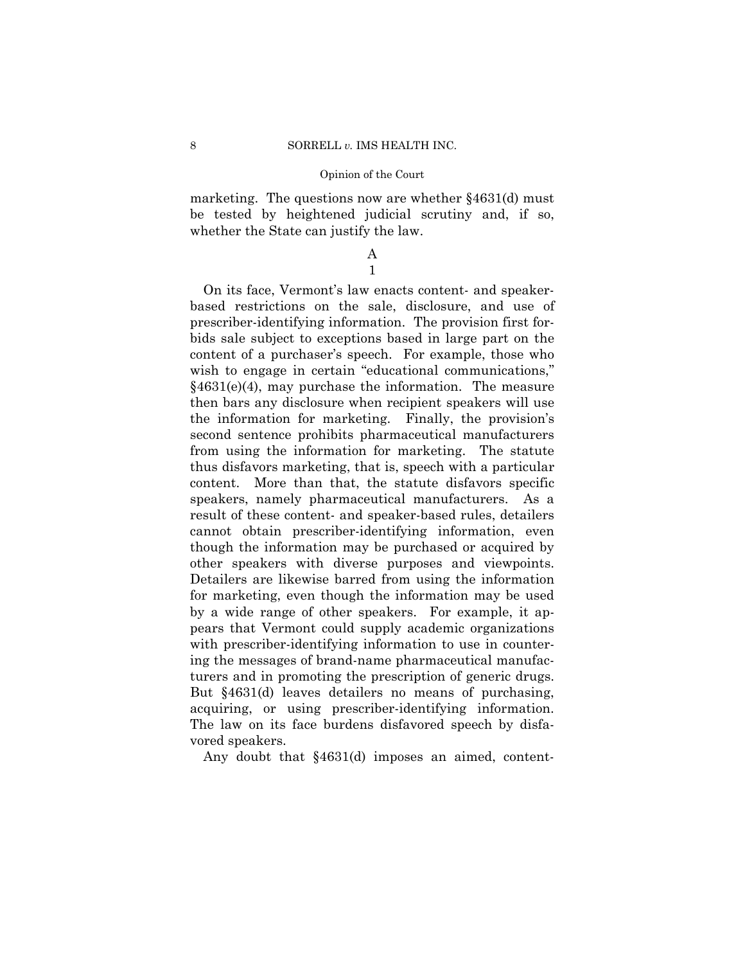marketing. The questions now are whether §4631(d) must be tested by heightened judicial scrutiny and, if so, whether the State can justify the law.

# A 1

On its face, Vermont's law enacts content- and speakerbased restrictions on the sale, disclosure, and use of prescriber-identifying information. The provision first forbids sale subject to exceptions based in large part on the content of a purchaser's speech. For example, those who wish to engage in certain "educational communications," §4631(e)(4), may purchase the information. The measure then bars any disclosure when recipient speakers will use the information for marketing. Finally, the provision's second sentence prohibits pharmaceutical manufacturers from using the information for marketing. The statute thus disfavors marketing, that is, speech with a particular content. More than that, the statute disfavors specific speakers, namely pharmaceutical manufacturers. As a result of these content- and speaker-based rules, detailers cannot obtain prescriber-identifying information, even though the information may be purchased or acquired by other speakers with diverse purposes and viewpoints. Detailers are likewise barred from using the information for marketing, even though the information may be used by a wide range of other speakers. For example, it appears that Vermont could supply academic organizations with prescriber-identifying information to use in countering the messages of brand-name pharmaceutical manufacturers and in promoting the prescription of generic drugs. But §4631(d) leaves detailers no means of purchasing, acquiring, or using prescriber-identifying information. The law on its face burdens disfavored speech by disfavored speakers.

Any doubt that §4631(d) imposes an aimed, content-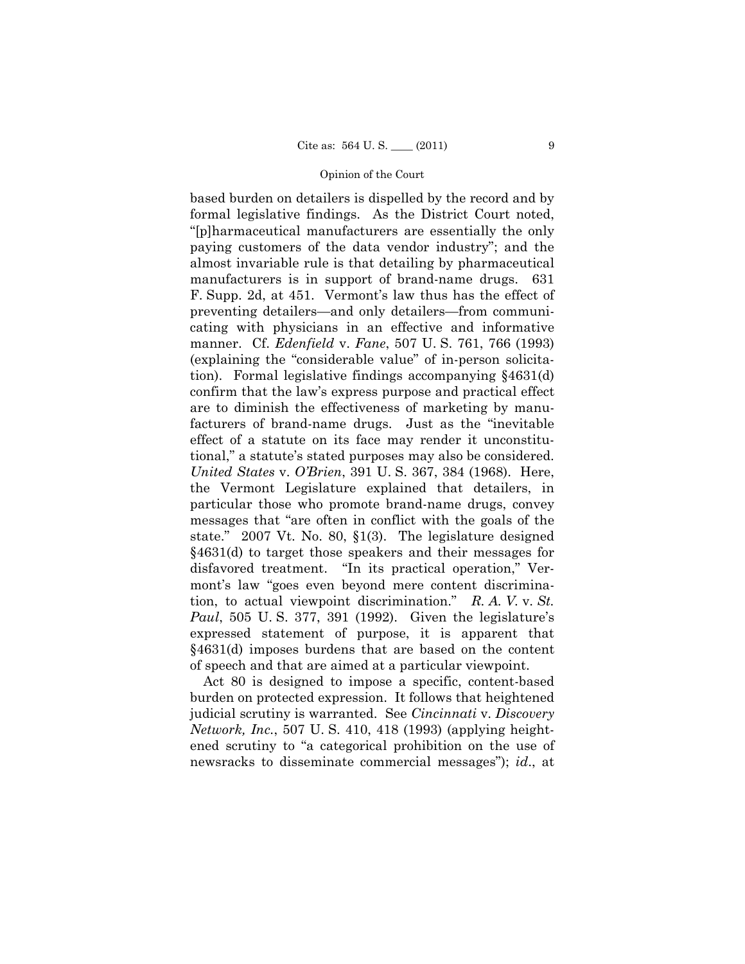based burden on detailers is dispelled by the record and by formal legislative findings. As the District Court noted, "[p]harmaceutical manufacturers are essentially the only paying customers of the data vendor industry"; and the almost invariable rule is that detailing by pharmaceutical manufacturers is in support of brand-name drugs. 631 F. Supp. 2d, at 451. Vermont's law thus has the effect of preventing detailers—and only detailers—from communicating with physicians in an effective and informative manner. Cf. *Edenfield* v. *Fane*, 507 U. S. 761, 766 (1993) (explaining the "considerable value" of in-person solicitation). Formal legislative findings accompanying §4631(d) confirm that the law's express purpose and practical effect are to diminish the effectiveness of marketing by manufacturers of brand-name drugs. Just as the "inevitable effect of a statute on its face may render it unconstitutional," a statute's stated purposes may also be considered. *United States* v. *O'Brien*, 391 U. S. 367, 384 (1968). Here, the Vermont Legislature explained that detailers, in particular those who promote brand-name drugs, convey messages that "are often in conflict with the goals of the state." 2007 Vt. No. 80, §1(3). The legislature designed §4631(d) to target those speakers and their messages for disfavored treatment. "In its practical operation," Vermont's law "goes even beyond mere content discrimination, to actual viewpoint discrimination." *R. A. V.* v. *St. Paul*, 505 U. S. 377, 391 (1992). Given the legislature's expressed statement of purpose, it is apparent that §4631(d) imposes burdens that are based on the content of speech and that are aimed at a particular viewpoint.

Act 80 is designed to impose a specific, content-based burden on protected expression. It follows that heightened judicial scrutiny is warranted. See *Cincinnati* v. *Discovery Network, Inc.*, 507 U. S. 410, 418 (1993) (applying heightened scrutiny to "a categorical prohibition on the use of newsracks to disseminate commercial messages"); *id*., at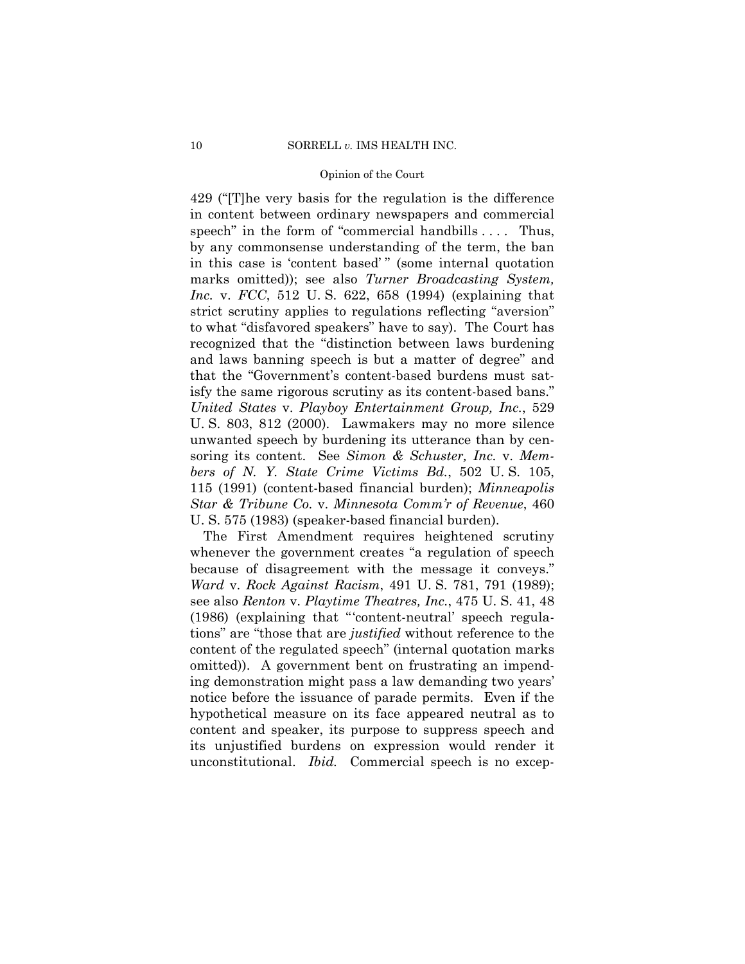429 ("[T]he very basis for the regulation is the difference in content between ordinary newspapers and commercial speech" in the form of "commercial handbills .... Thus, by any commonsense understanding of the term, the ban in this case is 'content based'" (some internal quotation marks omitted)); see also *Turner Broadcasting System, Inc.* v. *FCC*, 512 U. S. 622, 658 (1994) (explaining that strict scrutiny applies to regulations reflecting "aversion" to what "disfavored speakers" have to say). The Court has recognized that the "distinction between laws burdening and laws banning speech is but a matter of degree" and that the "Government's content-based burdens must satisfy the same rigorous scrutiny as its content-based bans." *United States* v. *Playboy Entertainment Group, Inc.*, 529 U. S. 803, 812 (2000). Lawmakers may no more silence unwanted speech by burdening its utterance than by censoring its content. See *Simon & Schuster, Inc.* v. *Members of N. Y. State Crime Victims Bd.*, 502 U. S. 105, 115 (1991) (content-based financial burden); *Minneapolis Star & Tribune Co.* v. *Minnesota Comm'r of Revenue*, 460 U. S. 575 (1983) (speaker-based financial burden).

The First Amendment requires heightened scrutiny whenever the government creates "a regulation of speech because of disagreement with the message it conveys." *Ward* v. *Rock Against Racism*, 491 U. S. 781, 791 (1989); see also *Renton* v. *Playtime Theatres, Inc.*, 475 U. S. 41, 48 (1986) (explaining that "'content-neutral' speech regulations" are "those that are *justified* without reference to the content of the regulated speech" (internal quotation marks omitted)). A government bent on frustrating an impending demonstration might pass a law demanding two years' notice before the issuance of parade permits. Even if the hypothetical measure on its face appeared neutral as to content and speaker, its purpose to suppress speech and its unjustified burdens on expression would render it unconstitutional. *Ibid.* Commercial speech is no excep-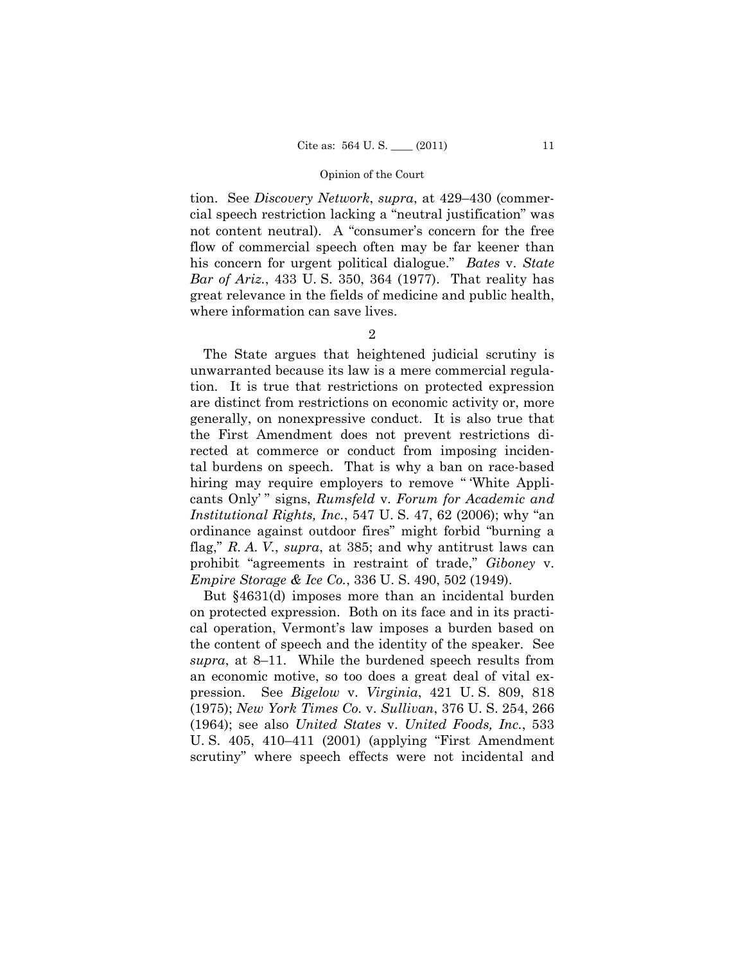tion. See *Discovery Network*, *supra*, at 429–430 (commercial speech restriction lacking a "neutral justification" was not content neutral). A "consumer's concern for the free flow of commercial speech often may be far keener than his concern for urgent political dialogue." *Bates* v. *State Bar of Ariz.*, 433 U. S. 350, 364 (1977). That reality has great relevance in the fields of medicine and public health, where information can save lives.

# 2

The State argues that heightened judicial scrutiny is unwarranted because its law is a mere commercial regulation. It is true that restrictions on protected expression are distinct from restrictions on economic activity or, more generally, on nonexpressive conduct. It is also true that the First Amendment does not prevent restrictions directed at commerce or conduct from imposing incidental burdens on speech. That is why a ban on race-based hiring may require employers to remove " 'White Applicants Only' " signs, *Rumsfeld* v. *Forum for Academic and Institutional Rights, Inc.*, 547 U. S. 47, 62 (2006); why "an ordinance against outdoor fires" might forbid "burning a flag," *R. A. V.*, *supra*, at 385; and why antitrust laws can prohibit "agreements in restraint of trade," *Giboney* v. *Empire Storage & Ice Co.*, 336 U. S. 490, 502 (1949).

But §4631(d) imposes more than an incidental burden on protected expression. Both on its face and in its practical operation, Vermont's law imposes a burden based on the content of speech and the identity of the speaker. See *supra*, at 8–11. While the burdened speech results from an economic motive, so too does a great deal of vital expression. See *Bigelow* v. *Virginia*, 421 U. S. 809, 818 (1975); *New York Times Co.* v. *Sullivan*, 376 U. S. 254, 266 (1964); see also *United States* v. *United Foods, Inc.*, 533 U. S. 405, 410–411 (2001) (applying "First Amendment scrutiny" where speech effects were not incidental and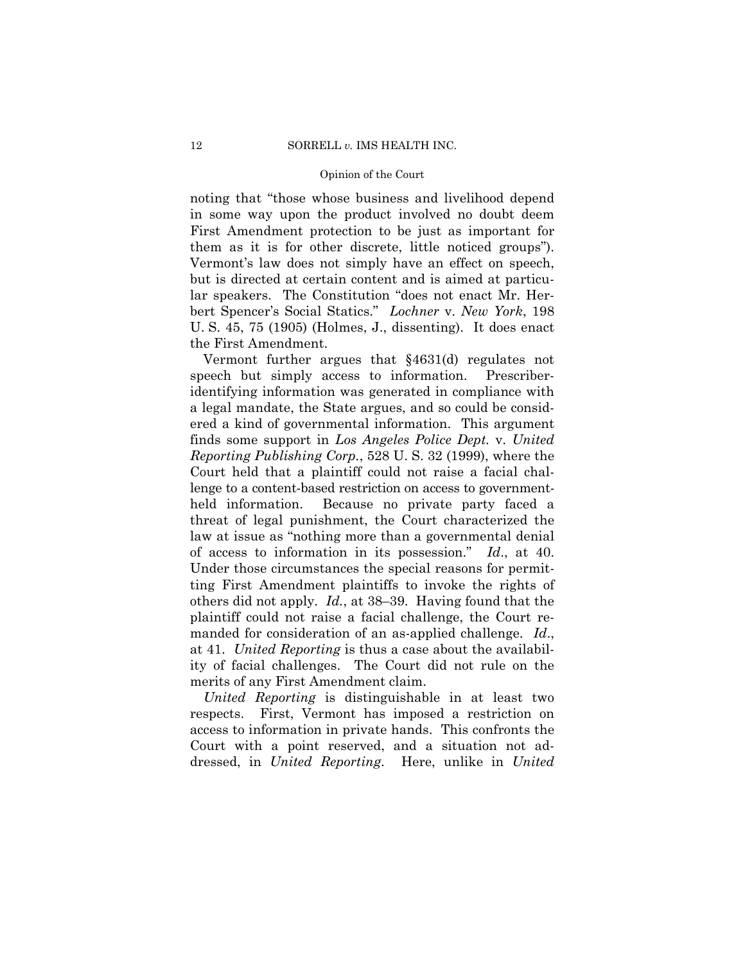noting that "those whose business and livelihood depend in some way upon the product involved no doubt deem First Amendment protection to be just as important for them as it is for other discrete, little noticed groups"). Vermont's law does not simply have an effect on speech, but is directed at certain content and is aimed at particular speakers. The Constitution "does not enact Mr. Herbert Spencer's Social Statics." *Lochner* v. *New York*, 198 U. S. 45, 75 (1905) (Holmes, J., dissenting). It does enact the First Amendment.

Vermont further argues that §4631(d) regulates not speech but simply access to information. Prescriberidentifying information was generated in compliance with a legal mandate, the State argues, and so could be considered a kind of governmental information. This argument finds some support in *Los Angeles Police Dept.* v. *United Reporting Publishing Corp.*, 528 U. S. 32 (1999), where the Court held that a plaintiff could not raise a facial challenge to a content-based restriction on access to governmentheld information. Because no private party faced a threat of legal punishment, the Court characterized the law at issue as "nothing more than a governmental denial of access to information in its possession." *Id*., at 40. Under those circumstances the special reasons for permitting First Amendment plaintiffs to invoke the rights of others did not apply. *Id.*, at 38–39. Having found that the plaintiff could not raise a facial challenge, the Court remanded for consideration of an as-applied challenge. *Id*., at 41. *United Reporting* is thus a case about the availability of facial challenges. The Court did not rule on the merits of any First Amendment claim.

*United Reporting* is distinguishable in at least two respects. First, Vermont has imposed a restriction on access to information in private hands. This confronts the Court with a point reserved, and a situation not addressed, in *United Reporting*. Here, unlike in *United*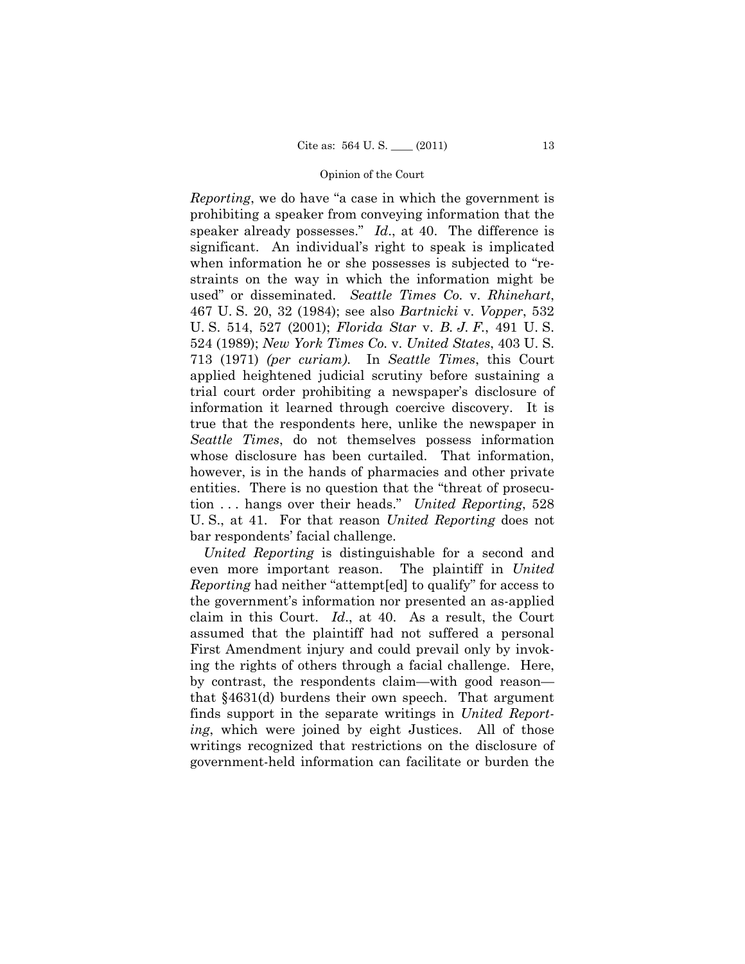*Reporting*, we do have "a case in which the government is prohibiting a speaker from conveying information that the speaker already possesses." *Id*., at 40. The difference is significant. An individual's right to speak is implicated when information he or she possesses is subjected to "restraints on the way in which the information might be used" or disseminated. *Seattle Times Co.* v. *Rhinehart*, 467 U. S. 20, 32 (1984); see also *Bartnicki* v. *Vopper*, 532 U. S. 514, 527 (2001); *Florida Star* v. *B. J. F.*, 491 U. S. 524 (1989); *New York Times Co.* v. *United States*, 403 U. S. 713 (1971) *(per curiam)*. In *Seattle Times*, this Court applied heightened judicial scrutiny before sustaining a trial court order prohibiting a newspaper's disclosure of information it learned through coercive discovery. It is true that the respondents here, unlike the newspaper in *Seattle Times*, do not themselves possess information whose disclosure has been curtailed. That information, however, is in the hands of pharmacies and other private entities. There is no question that the "threat of prosecution . . . hangs over their heads." *United Reporting*, 528 U. S., at 41. For that reason *United Reporting* does not bar respondents' facial challenge.

*United Reporting* is distinguishable for a second and even more important reason. The plaintiff in *United Reporting* had neither "attempt[ed] to qualify" for access to the government's information nor presented an as-applied claim in this Court. *Id*., at 40. As a result, the Court assumed that the plaintiff had not suffered a personal First Amendment injury and could prevail only by invoking the rights of others through a facial challenge. Here, by contrast, the respondents claim—with good reason that §4631(d) burdens their own speech. That argument finds support in the separate writings in *United Reporting*, which were joined by eight Justices. All of those writings recognized that restrictions on the disclosure of government-held information can facilitate or burden the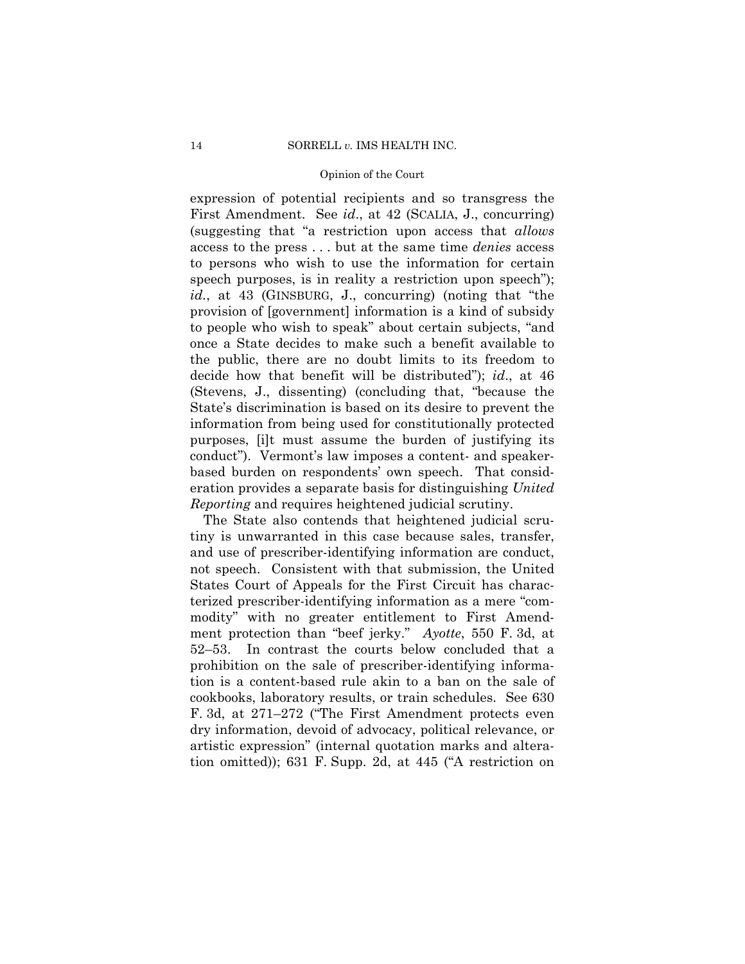expression of potential recipients and so transgress the First Amendment. See *id*., at 42 (SCALIA, J., concurring) (suggesting that "a restriction upon access that *allows*  access to the press . . . but at the same time *denies* access to persons who wish to use the information for certain speech purposes, is in reality a restriction upon speech"); *id.*, at 43 (GINSBURG, J., concurring) (noting that "the provision of [government] information is a kind of subsidy to people who wish to speak" about certain subjects, "and once a State decides to make such a benefit available to the public, there are no doubt limits to its freedom to decide how that benefit will be distributed"); *id*., at 46 (Stevens, J., dissenting) (concluding that, "because the State's discrimination is based on its desire to prevent the information from being used for constitutionally protected purposes, [i]t must assume the burden of justifying its conduct"). Vermont's law imposes a content- and speakerbased burden on respondents' own speech. That consideration provides a separate basis for distinguishing *United Reporting* and requires heightened judicial scrutiny.

The State also contends that heightened judicial scrutiny is unwarranted in this case because sales, transfer, and use of prescriber-identifying information are conduct, not speech. Consistent with that submission, the United States Court of Appeals for the First Circuit has characterized prescriber-identifying information as a mere "commodity" with no greater entitlement to First Amendment protection than "beef jerky." *Ayotte*, 550 F. 3d, at 52–53. In contrast the courts below concluded that a prohibition on the sale of prescriber-identifying information is a content-based rule akin to a ban on the sale of cookbooks, laboratory results, or train schedules. See 630 F. 3d, at 271–272 ("The First Amendment protects even dry information, devoid of advocacy, political relevance, or artistic expression" (internal quotation marks and alteration omitted)); 631 F. Supp. 2d, at 445 ("A restriction on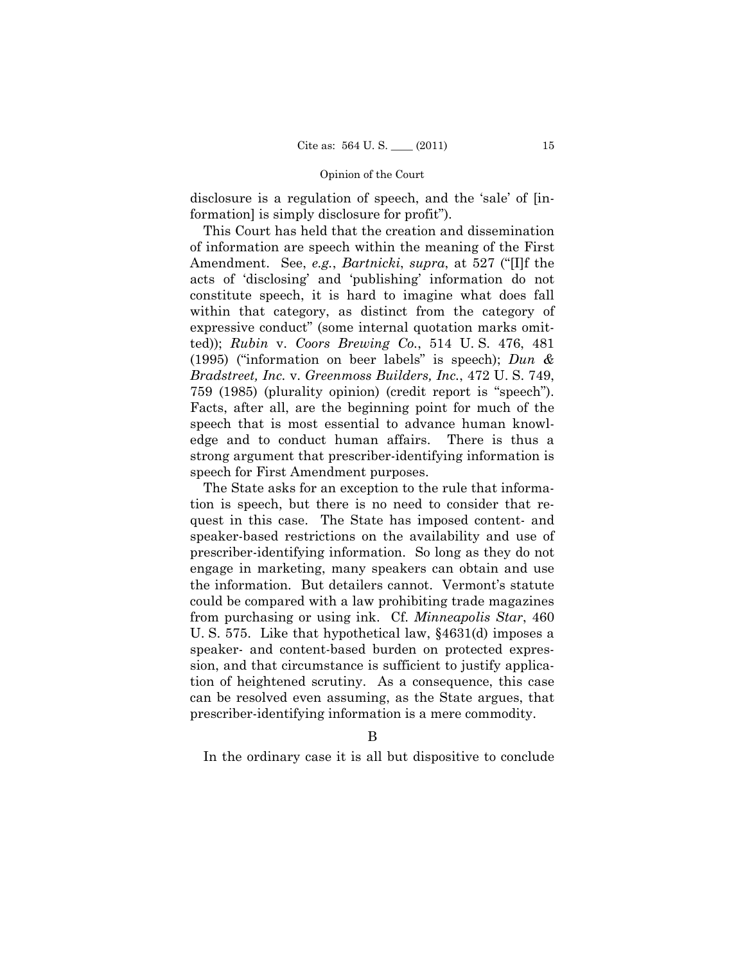disclosure is a regulation of speech, and the 'sale' of [information] is simply disclosure for profit").

This Court has held that the creation and dissemination of information are speech within the meaning of the First Amendment. See, *e.g.*, *Bartnicki*, *supra*, at 527 ("[I]f the acts of 'disclosing' and 'publishing' information do not constitute speech, it is hard to imagine what does fall within that category, as distinct from the category of expressive conduct" (some internal quotation marks omitted)); *Rubin* v. *Coors Brewing Co.*, 514 U. S. 476, 481 (1995) ("information on beer labels" is speech); *Dun & Bradstreet, Inc.* v. *Greenmoss Builders, Inc.*, 472 U. S. 749, 759 (1985) (plurality opinion) (credit report is "speech"). Facts, after all, are the beginning point for much of the speech that is most essential to advance human knowledge and to conduct human affairs. There is thus a strong argument that prescriber-identifying information is speech for First Amendment purposes.

The State asks for an exception to the rule that information is speech, but there is no need to consider that request in this case. The State has imposed content- and speaker-based restrictions on the availability and use of prescriber-identifying information. So long as they do not engage in marketing, many speakers can obtain and use the information. But detailers cannot. Vermont's statute could be compared with a law prohibiting trade magazines from purchasing or using ink. Cf. *Minneapolis Star*, 460 U. S. 575. Like that hypothetical law, §4631(d) imposes a speaker- and content-based burden on protected expression, and that circumstance is sufficient to justify application of heightened scrutiny. As a consequence, this case can be resolved even assuming, as the State argues, that prescriber-identifying information is a mere commodity.

In the ordinary case it is all but dispositive to conclude

B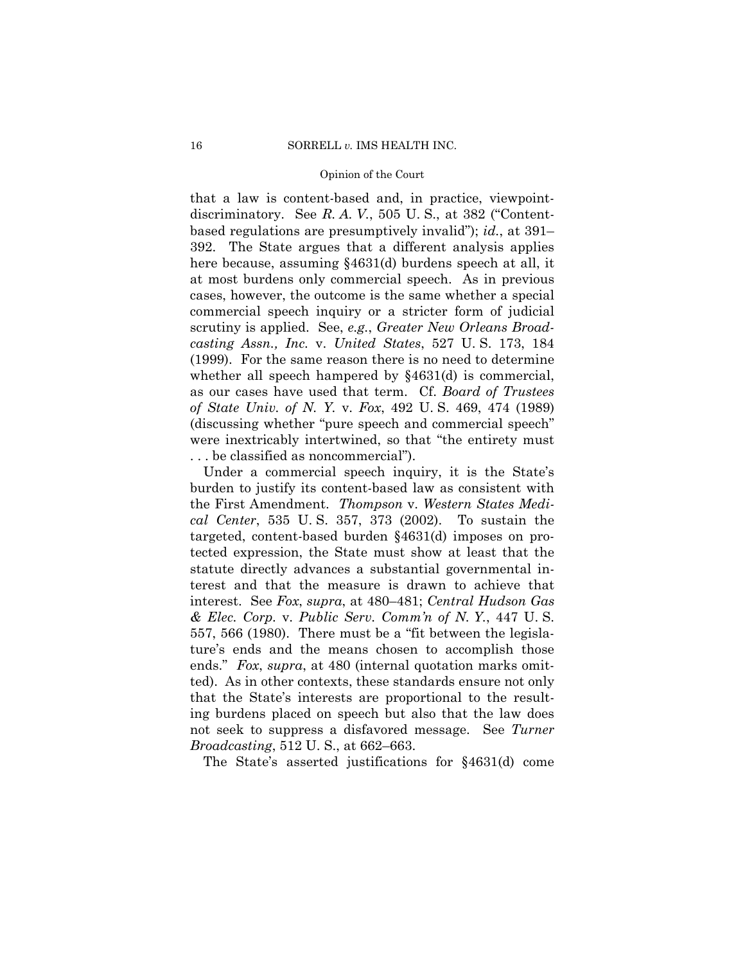that a law is content-based and, in practice, viewpointdiscriminatory. See *R. A. V.*, 505 U. S., at 382 ("Contentbased regulations are presumptively invalid"); *id.*, at 391– 392. The State argues that a different analysis applies here because, assuming §4631(d) burdens speech at all, it at most burdens only commercial speech. As in previous cases, however, the outcome is the same whether a special commercial speech inquiry or a stricter form of judicial scrutiny is applied. See, *e.g.*, *Greater New Orleans Broadcasting Assn., Inc.* v. *United States*, 527 U. S. 173, 184 (1999). For the same reason there is no need to determine whether all speech hampered by §4631(d) is commercial, as our cases have used that term. Cf. *Board of Trustees of State Univ. of N. Y.* v. *Fox*, 492 U. S. 469, 474 (1989) (discussing whether "pure speech and commercial speech" were inextricably intertwined, so that "the entirety must . . . be classified as noncommercial").

Under a commercial speech inquiry, it is the State's burden to justify its content-based law as consistent with the First Amendment. *Thompson* v. *Western States Medical Center*, 535 U. S. 357, 373 (2002). To sustain the targeted, content-based burden §4631(d) imposes on protected expression, the State must show at least that the statute directly advances a substantial governmental interest and that the measure is drawn to achieve that interest. See *Fox*, *supra*, at 480–481; *Central Hudson Gas & Elec. Corp.* v. *Public Serv. Comm'n of N. Y.*, 447 U. S. 557, 566 (1980). There must be a "fit between the legislature's ends and the means chosen to accomplish those ends." *Fox*, *supra*, at 480 (internal quotation marks omitted). As in other contexts, these standards ensure not only that the State's interests are proportional to the resulting burdens placed on speech but also that the law does not seek to suppress a disfavored message. See *Turner Broadcasting*, 512 U. S., at 662–663.

The State's asserted justifications for §4631(d) come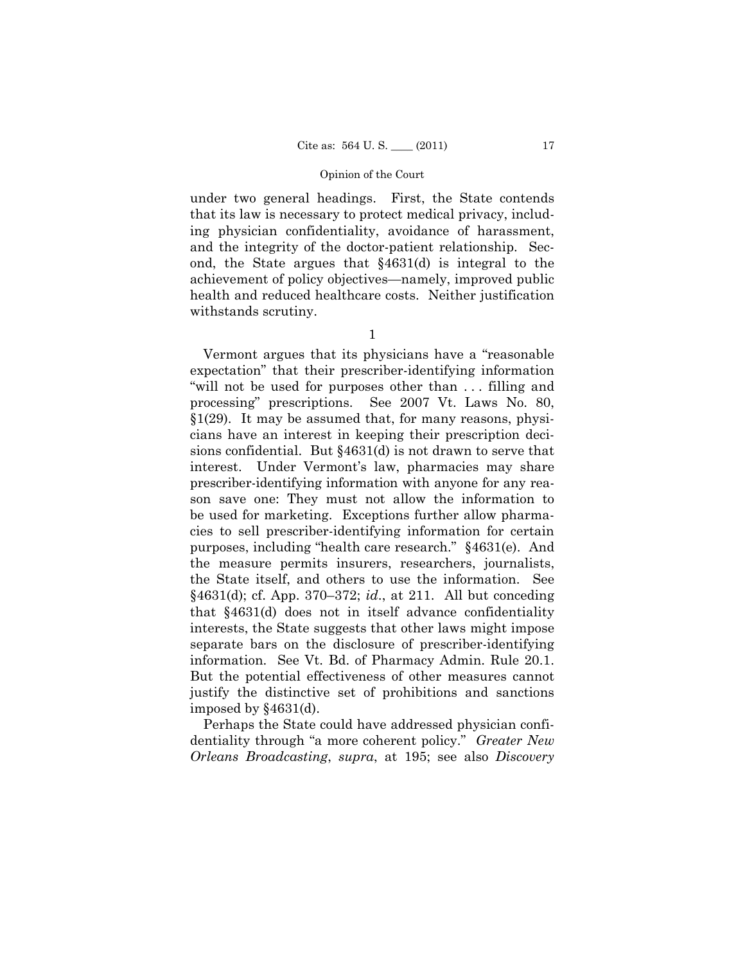under two general headings. First, the State contends that its law is necessary to protect medical privacy, including physician confidentiality, avoidance of harassment, and the integrity of the doctor-patient relationship. Second, the State argues that §4631(d) is integral to the achievement of policy objectives—namely, improved public health and reduced healthcare costs. Neither justification withstands scrutiny.

1

Vermont argues that its physicians have a "reasonable expectation" that their prescriber-identifying information "will not be used for purposes other than . . . filling and processing" prescriptions. See 2007 Vt. Laws No. 80, §1(29). It may be assumed that, for many reasons, physicians have an interest in keeping their prescription decisions confidential. But §4631(d) is not drawn to serve that interest. Under Vermont's law, pharmacies may share prescriber-identifying information with anyone for any reason save one: They must not allow the information to be used for marketing. Exceptions further allow pharmacies to sell prescriber-identifying information for certain purposes, including "health care research." §4631(e). And the measure permits insurers, researchers, journalists, the State itself, and others to use the information. See §4631(d); cf. App. 370–372; *id*., at 211. All but conceding that §4631(d) does not in itself advance confidentiality interests, the State suggests that other laws might impose separate bars on the disclosure of prescriber-identifying information. See Vt. Bd. of Pharmacy Admin. Rule 20.1. But the potential effectiveness of other measures cannot justify the distinctive set of prohibitions and sanctions imposed by §4631(d).

Perhaps the State could have addressed physician confidentiality through "a more coherent policy." *Greater New Orleans Broadcasting*, *supra*, at 195; see also *Discovery*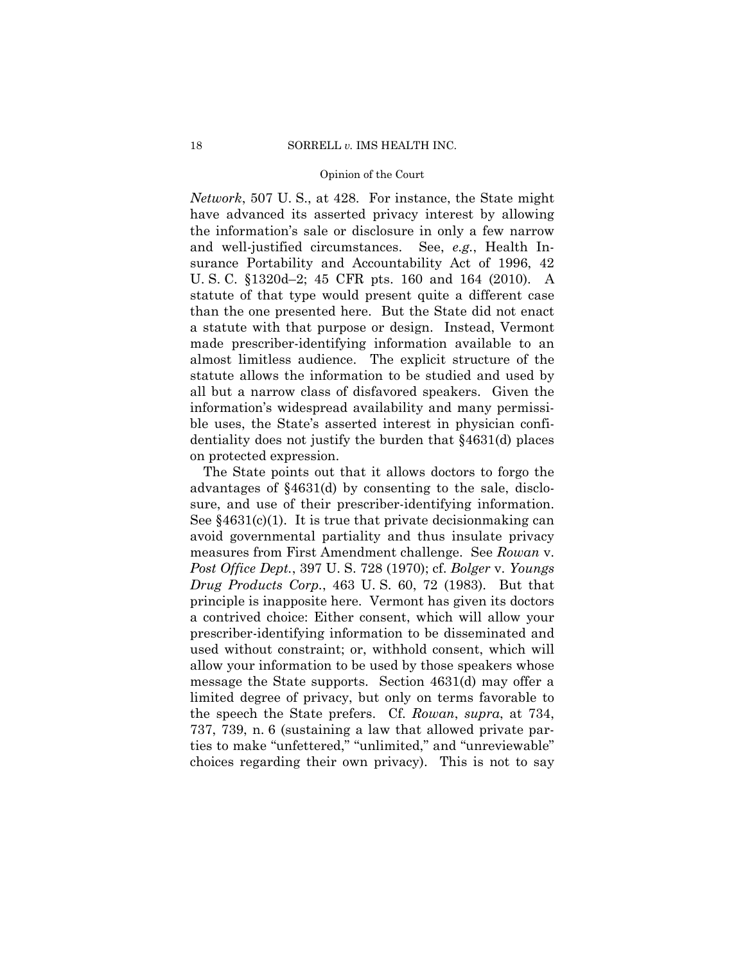*Network*, 507 U. S., at 428. For instance, the State might have advanced its asserted privacy interest by allowing the information's sale or disclosure in only a few narrow and well-justified circumstances. See, *e.g.*, Health Insurance Portability and Accountability Act of 1996, 42 U. S. C. §1320d–2; 45 CFR pts. 160 and 164 (2010). A statute of that type would present quite a different case than the one presented here. But the State did not enact a statute with that purpose or design. Instead, Vermont made prescriber-identifying information available to an almost limitless audience. The explicit structure of the statute allows the information to be studied and used by all but a narrow class of disfavored speakers. Given the information's widespread availability and many permissible uses, the State's asserted interest in physician confidentiality does not justify the burden that §4631(d) places on protected expression.

The State points out that it allows doctors to forgo the advantages of §4631(d) by consenting to the sale, disclosure, and use of their prescriber-identifying information. See  $$4631(c)(1)$ . It is true that private decision making can avoid governmental partiality and thus insulate privacy measures from First Amendment challenge. See *Rowan* v. *Post Office Dept.*, 397 U. S. 728 (1970); cf. *Bolger* v. *Youngs Drug Products Corp.*, 463 U. S. 60, 72 (1983). But that principle is inapposite here. Vermont has given its doctors a contrived choice: Either consent, which will allow your prescriber-identifying information to be disseminated and used without constraint; or, withhold consent, which will allow your information to be used by those speakers whose message the State supports. Section 4631(d) may offer a limited degree of privacy, but only on terms favorable to the speech the State prefers. Cf. *Rowan*, *supra*, at 734, 737, 739, n. 6 (sustaining a law that allowed private parties to make "unfettered," "unlimited," and "unreviewable" choices regarding their own privacy). This is not to say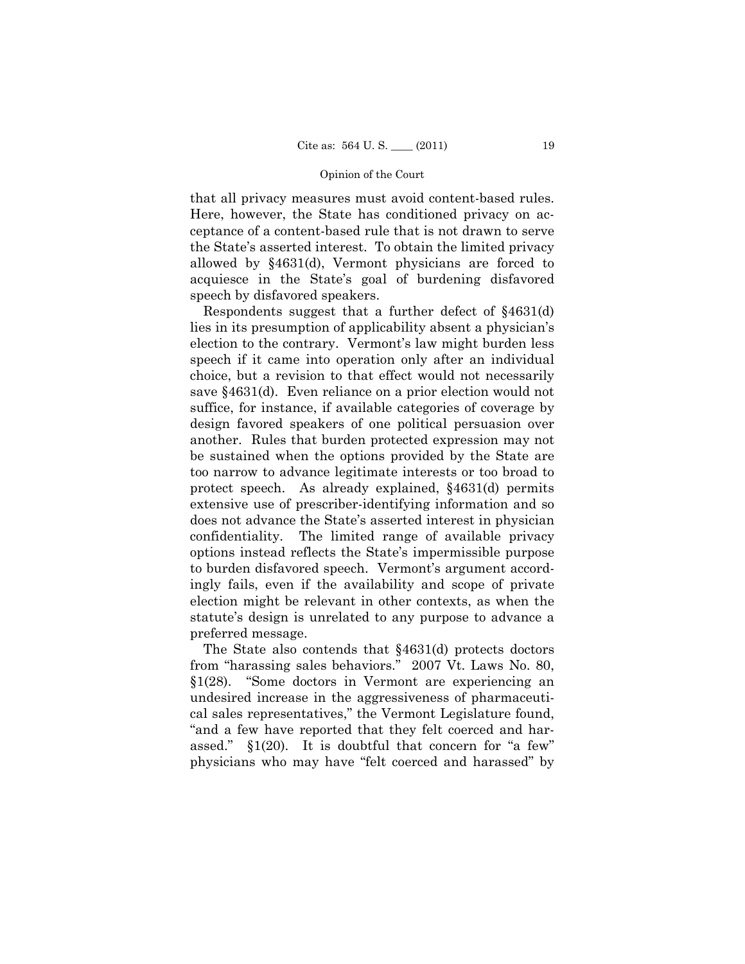that all privacy measures must avoid content-based rules. Here, however, the State has conditioned privacy on acceptance of a content-based rule that is not drawn to serve the State's asserted interest. To obtain the limited privacy allowed by §4631(d), Vermont physicians are forced to acquiesce in the State's goal of burdening disfavored speech by disfavored speakers.

Respondents suggest that a further defect of §4631(d) lies in its presumption of applicability absent a physician's election to the contrary. Vermont's law might burden less speech if it came into operation only after an individual choice, but a revision to that effect would not necessarily save §4631(d). Even reliance on a prior election would not suffice, for instance, if available categories of coverage by design favored speakers of one political persuasion over another. Rules that burden protected expression may not be sustained when the options provided by the State are too narrow to advance legitimate interests or too broad to protect speech. As already explained, §4631(d) permits extensive use of prescriber-identifying information and so does not advance the State's asserted interest in physician confidentiality. The limited range of available privacy options instead reflects the State's impermissible purpose to burden disfavored speech. Vermont's argument accordingly fails, even if the availability and scope of private election might be relevant in other contexts, as when the statute's design is unrelated to any purpose to advance a preferred message.

The State also contends that §4631(d) protects doctors from "harassing sales behaviors." 2007 Vt. Laws No. 80, §1(28). "Some doctors in Vermont are experiencing an undesired increase in the aggressiveness of pharmaceutical sales representatives," the Vermont Legislature found, "and a few have reported that they felt coerced and harassed."  $\S1(20)$ . It is doubtful that concern for "a few" physicians who may have "felt coerced and harassed" by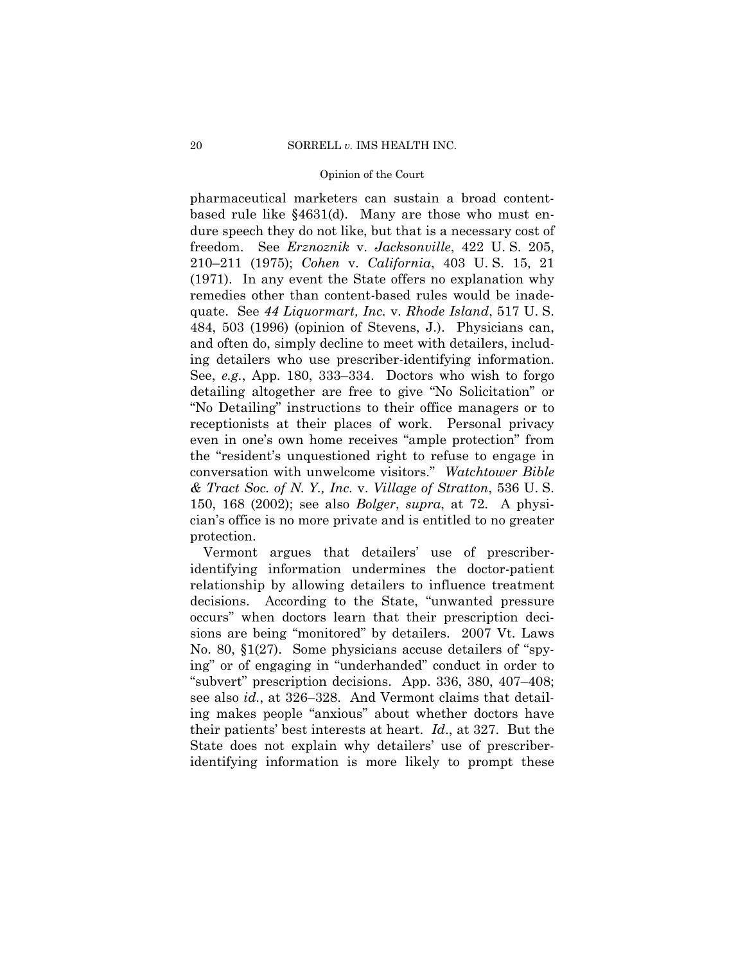pharmaceutical marketers can sustain a broad contentbased rule like §4631(d). Many are those who must endure speech they do not like, but that is a necessary cost of freedom. See *Erznoznik* v. *Jacksonville*, 422 U. S. 205, 210–211 (1975); *Cohen* v. *California*, 403 U. S. 15, 21 (1971). In any event the State offers no explanation why remedies other than content-based rules would be inadequate. See *44 Liquormart, Inc.* v. *Rhode Island*, 517 U. S. 484, 503 (1996) (opinion of Stevens, J.). Physicians can, and often do, simply decline to meet with detailers, including detailers who use prescriber-identifying information. See, *e.g.*, App. 180, 333–334. Doctors who wish to forgo detailing altogether are free to give "No Solicitation" or "No Detailing" instructions to their office managers or to receptionists at their places of work. Personal privacy even in one's own home receives "ample protection" from the "resident's unquestioned right to refuse to engage in conversation with unwelcome visitors." *Watchtower Bible & Tract Soc. of N. Y., Inc.* v. *Village of Stratton*, 536 U. S. 150, 168 (2002); see also *Bolger*, *supra*, at 72. A physician's office is no more private and is entitled to no greater protection.

Vermont argues that detailers' use of prescriberidentifying information undermines the doctor-patient relationship by allowing detailers to influence treatment decisions. According to the State, "unwanted pressure occurs" when doctors learn that their prescription decisions are being "monitored" by detailers. 2007 Vt. Laws No. 80, §1(27). Some physicians accuse detailers of "spying" or of engaging in "underhanded" conduct in order to "subvert" prescription decisions. App. 336, 380, 407–408; see also *id.*, at 326–328. And Vermont claims that detailing makes people "anxious" about whether doctors have their patients' best interests at heart. *Id*., at 327. But the State does not explain why detailers' use of prescriberidentifying information is more likely to prompt these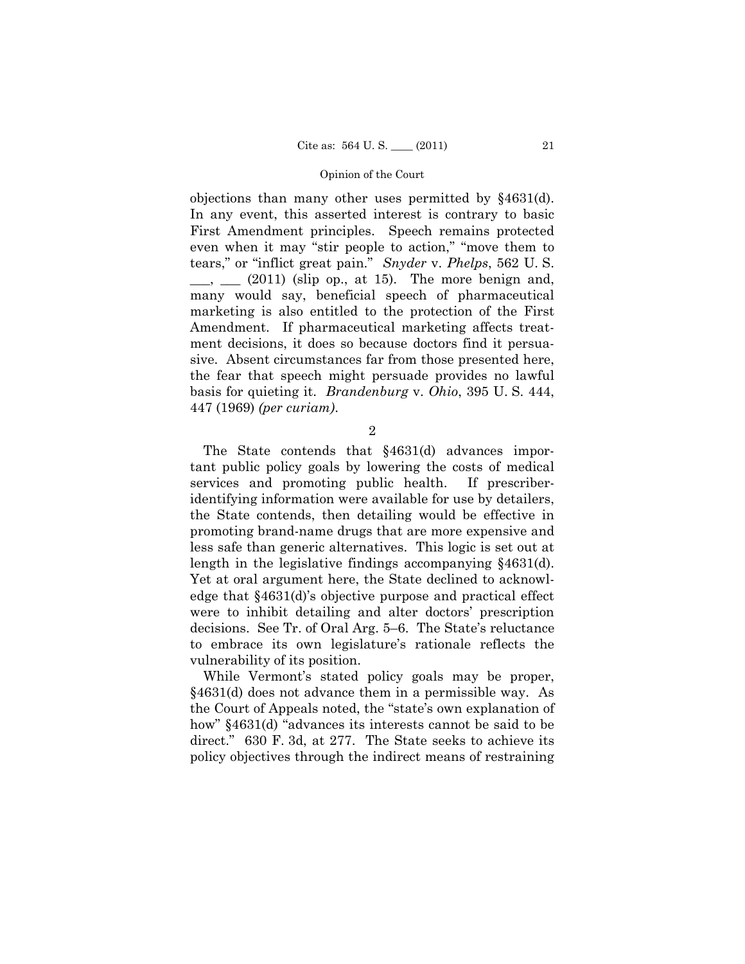objections than many other uses permitted by §4631(d). In any event, this asserted interest is contrary to basic First Amendment principles. Speech remains protected even when it may "stir people to action," "move them to tears," or "inflict great pain." *Snyder* v. *Phelps*, 562 U. S.  $\_, \_\_$  (2011) (slip op., at 15). The more benign and, many would say, beneficial speech of pharmaceutical marketing is also entitled to the protection of the First Amendment. If pharmaceutical marketing affects treatment decisions, it does so because doctors find it persuasive. Absent circumstances far from those presented here, the fear that speech might persuade provides no lawful basis for quieting it. *Brandenburg* v. *Ohio*, 395 U. S. 444, 447 (1969) *(per curiam)*.

2

The State contends that §4631(d) advances important public policy goals by lowering the costs of medical services and promoting public health. If prescriberidentifying information were available for use by detailers, the State contends, then detailing would be effective in promoting brand-name drugs that are more expensive and less safe than generic alternatives. This logic is set out at length in the legislative findings accompanying §4631(d). Yet at oral argument here, the State declined to acknowledge that §4631(d)'s objective purpose and practical effect were to inhibit detailing and alter doctors' prescription decisions. See Tr. of Oral Arg. 5–6. The State's reluctance to embrace its own legislature's rationale reflects the vulnerability of its position.

While Vermont's stated policy goals may be proper, §4631(d) does not advance them in a permissible way. As the Court of Appeals noted, the "state's own explanation of how" §4631(d) "advances its interests cannot be said to be direct." 630 F. 3d, at 277. The State seeks to achieve its policy objectives through the indirect means of restraining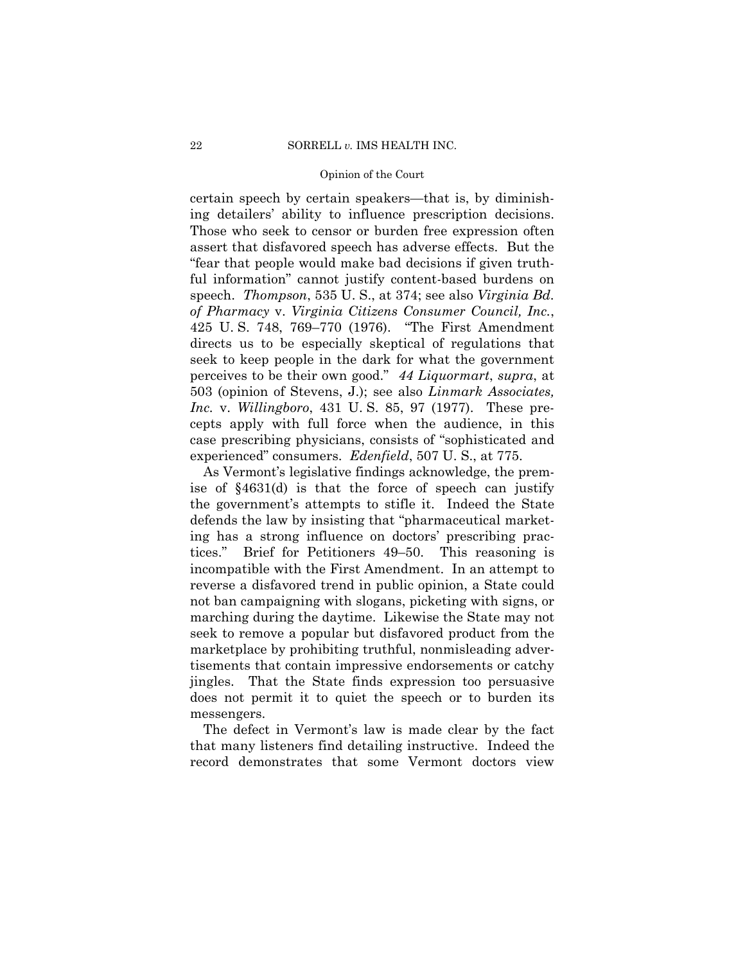certain speech by certain speakers—that is, by diminishing detailers' ability to influence prescription decisions. Those who seek to censor or burden free expression often assert that disfavored speech has adverse effects. But the "fear that people would make bad decisions if given truthful information" cannot justify content-based burdens on speech. *Thompson*, 535 U. S., at 374; see also *Virginia Bd. of Pharmacy* v. *Virginia Citizens Consumer Council, Inc.*, 425 U. S. 748, 769–770 (1976). "The First Amendment directs us to be especially skeptical of regulations that seek to keep people in the dark for what the government perceives to be their own good." *44 Liquormart*, *supra*, at 503 (opinion of Stevens, J.); see also *Linmark Associates, Inc.* v. *Willingboro*, 431 U. S. 85, 97 (1977). These precepts apply with full force when the audience, in this case prescribing physicians, consists of "sophisticated and experienced" consumers. *Edenfield*, 507 U. S., at 775.

As Vermont's legislative findings acknowledge, the premise of §4631(d) is that the force of speech can justify the government's attempts to stifle it. Indeed the State defends the law by insisting that "pharmaceutical marketing has a strong influence on doctors' prescribing practices." Brief for Petitioners 49–50. This reasoning is incompatible with the First Amendment. In an attempt to reverse a disfavored trend in public opinion, a State could not ban campaigning with slogans, picketing with signs, or marching during the daytime. Likewise the State may not seek to remove a popular but disfavored product from the marketplace by prohibiting truthful, nonmisleading advertisements that contain impressive endorsements or catchy jingles. That the State finds expression too persuasive does not permit it to quiet the speech or to burden its messengers.

The defect in Vermont's law is made clear by the fact that many listeners find detailing instructive. Indeed the record demonstrates that some Vermont doctors view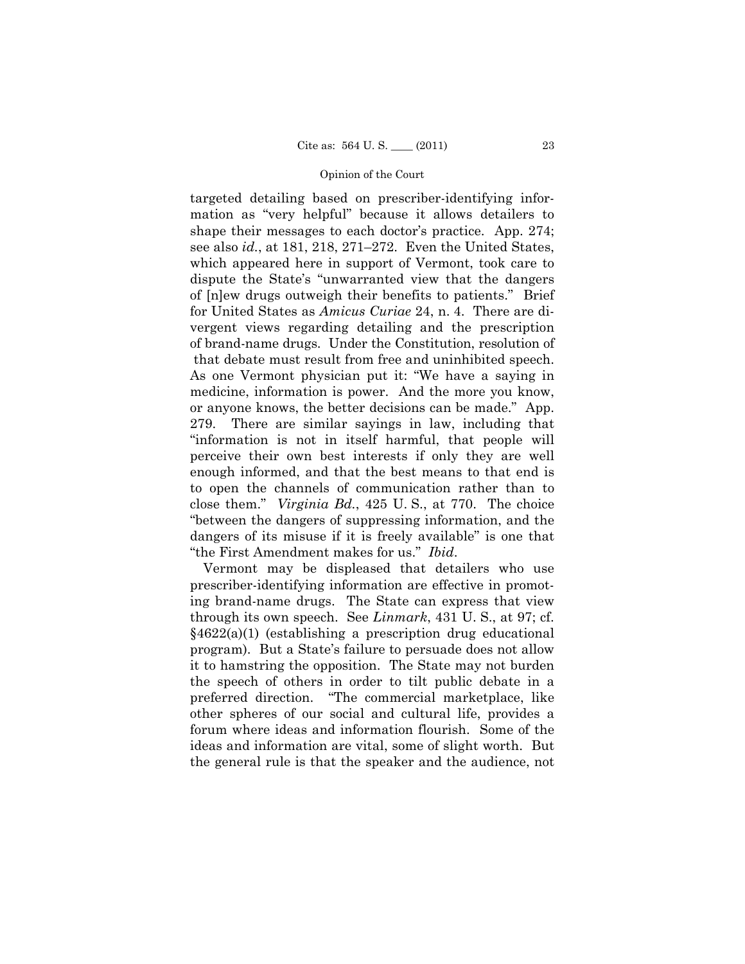targeted detailing based on prescriber-identifying information as "very helpful" because it allows detailers to shape their messages to each doctor's practice. App. 274; see also *id.*, at 181, 218, 271–272. Even the United States, which appeared here in support of Vermont, took care to dispute the State's "unwarranted view that the dangers of [n]ew drugs outweigh their benefits to patients." Brief for United States as *Amicus Curiae* 24, n. 4. There are divergent views regarding detailing and the prescription of brand-name drugs. Under the Constitution, resolution of that debate must result from free and uninhibited speech. As one Vermont physician put it: "We have a saying in medicine, information is power. And the more you know, or anyone knows, the better decisions can be made." App. 279. There are similar sayings in law, including that "information is not in itself harmful, that people will perceive their own best interests if only they are well enough informed, and that the best means to that end is to open the channels of communication rather than to close them." *Virginia Bd.*, 425 U. S., at 770. The choice "between the dangers of suppressing information, and the dangers of its misuse if it is freely available" is one that "the First Amendment makes for us." *Ibid*.

Vermont may be displeased that detailers who use prescriber-identifying information are effective in promoting brand-name drugs. The State can express that view through its own speech. See *Linmark*, 431 U. S., at 97; cf. §4622(a)(1) (establishing a prescription drug educational program). But a State's failure to persuade does not allow it to hamstring the opposition. The State may not burden the speech of others in order to tilt public debate in a preferred direction. "The commercial marketplace, like other spheres of our social and cultural life, provides a forum where ideas and information flourish. Some of the ideas and information are vital, some of slight worth. But the general rule is that the speaker and the audience, not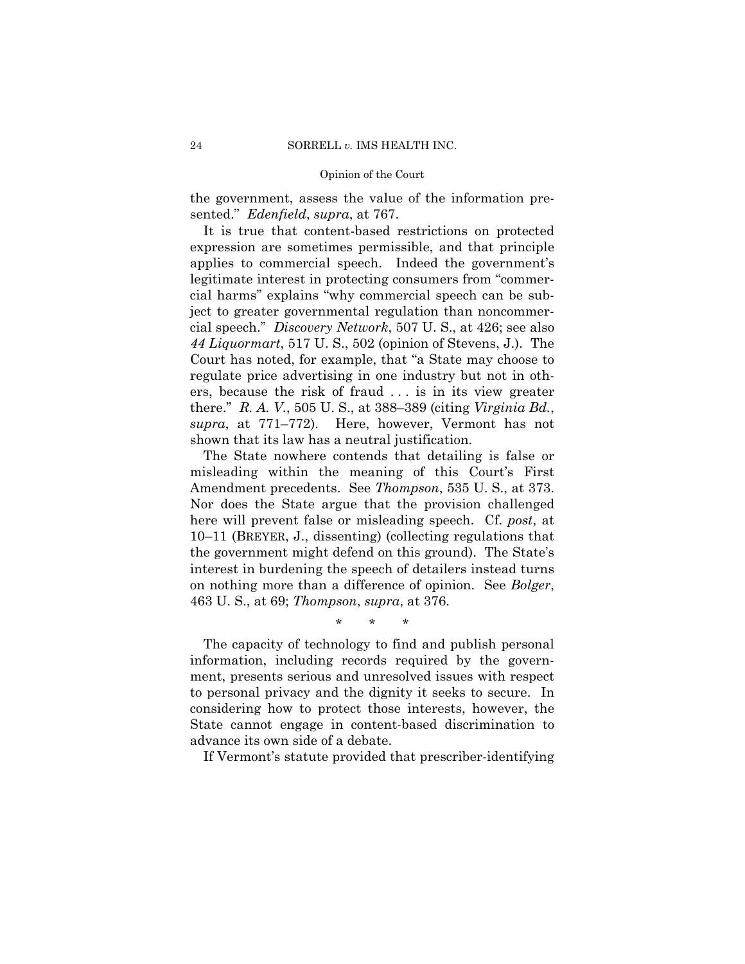the government, assess the value of the information presented." *Edenfield*, *supra*, at 767.

It is true that content-based restrictions on protected expression are sometimes permissible, and that principle applies to commercial speech. Indeed the government's legitimate interest in protecting consumers from "commercial harms" explains "why commercial speech can be subject to greater governmental regulation than noncommercial speech." *Discovery Network*, 507 U. S., at 426; see also *44 Liquormart*, 517 U. S., 502 (opinion of Stevens, J.). The Court has noted, for example, that "a State may choose to regulate price advertising in one industry but not in others, because the risk of fraud . . . is in its view greater there." *R. A. V.*, 505 U. S., at 388–389 (citing *Virginia Bd.*, *supra*, at 771–772). Here, however, Vermont has not shown that its law has a neutral justification.

The State nowhere contends that detailing is false or misleading within the meaning of this Court's First Amendment precedents. See *Thompson*, 535 U. S., at 373. Nor does the State argue that the provision challenged here will prevent false or misleading speech. Cf. *post*, at 10–11 (BREYER, J., dissenting) (collecting regulations that the government might defend on this ground). The State's interest in burdening the speech of detailers instead turns on nothing more than a difference of opinion. See *Bolger*, 463 U. S., at 69; *Thompson*, *supra*, at 376.

\* \* \*

The capacity of technology to find and publish personal information, including records required by the government, presents serious and unresolved issues with respect to personal privacy and the dignity it seeks to secure. In considering how to protect those interests, however, the State cannot engage in content-based discrimination to advance its own side of a debate.

If Vermont's statute provided that prescriber-identifying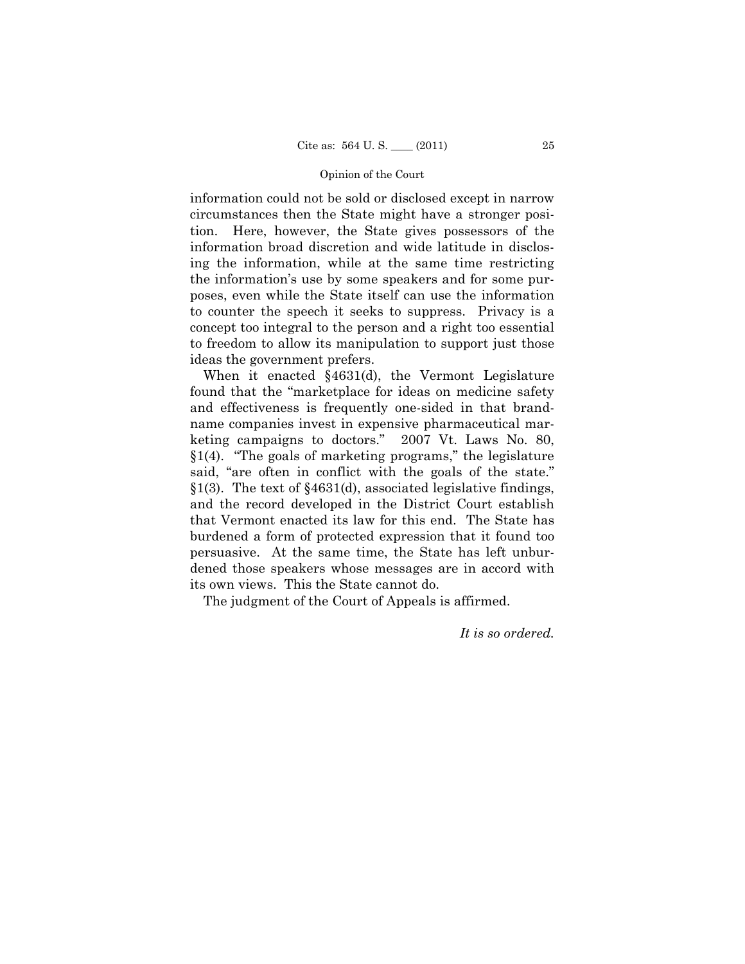information could not be sold or disclosed except in narrow circumstances then the State might have a stronger position. Here, however, the State gives possessors of the information broad discretion and wide latitude in disclosing the information, while at the same time restricting the information's use by some speakers and for some purposes, even while the State itself can use the information to counter the speech it seeks to suppress. Privacy is a concept too integral to the person and a right too essential to freedom to allow its manipulation to support just those ideas the government prefers.

When it enacted §4631(d), the Vermont Legislature found that the "marketplace for ideas on medicine safety and effectiveness is frequently one-sided in that brandname companies invest in expensive pharmaceutical marketing campaigns to doctors." 2007 Vt. Laws No. 80, §1(4). "The goals of marketing programs," the legislature said, "are often in conflict with the goals of the state." §1(3). The text of §4631(d), associated legislative findings, and the record developed in the District Court establish that Vermont enacted its law for this end. The State has burdened a form of protected expression that it found too persuasive. At the same time, the State has left unburdened those speakers whose messages are in accord with its own views. This the State cannot do.

The judgment of the Court of Appeals is affirmed.

*It is so ordered.*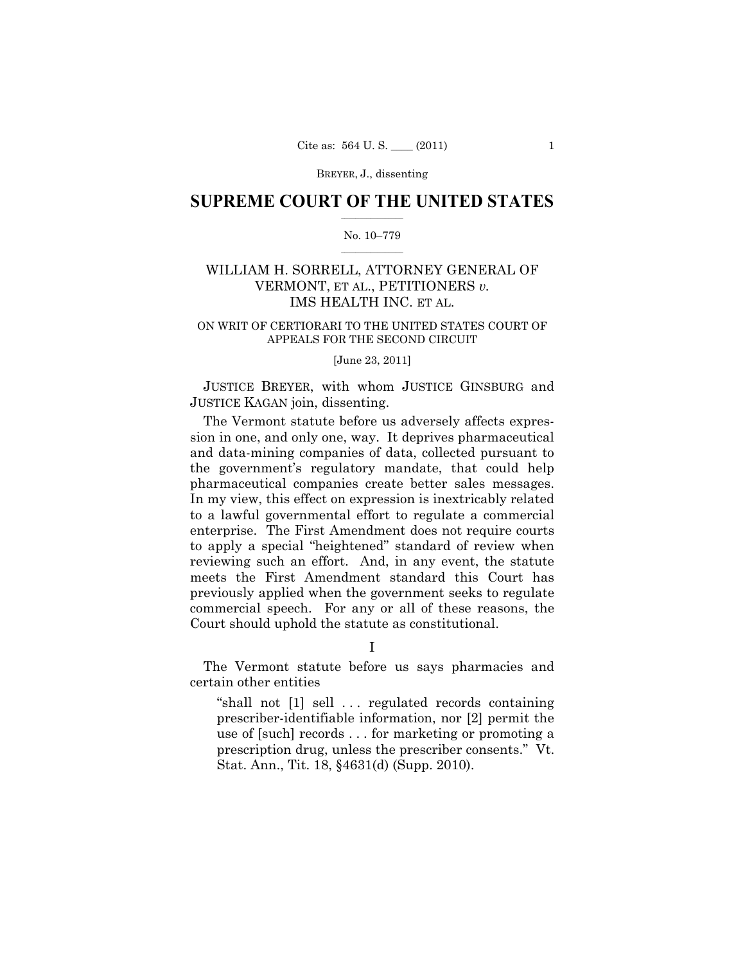## $\frac{1}{2}$  ,  $\frac{1}{2}$  ,  $\frac{1}{2}$  ,  $\frac{1}{2}$  ,  $\frac{1}{2}$  ,  $\frac{1}{2}$  ,  $\frac{1}{2}$ **SUPREME COURT OF THE UNITED STATES**

## $\frac{1}{2}$  ,  $\frac{1}{2}$  ,  $\frac{1}{2}$  ,  $\frac{1}{2}$  ,  $\frac{1}{2}$  ,  $\frac{1}{2}$ No. 10–779

# WILLIAM H. SORRELL, ATTORNEY GENERAL OF VERMONT, ET AL., PETITIONERS *v.* IMS HEALTH INC. ET AL.

## ON WRIT OF CERTIORARI TO THE UNITED STATES COURT OF APPEALS FOR THE SECOND CIRCUIT

## [June 23, 2011]

JUSTICE BREYER, with whom JUSTICE GINSBURG and JUSTICE KAGAN join, dissenting.

The Vermont statute before us adversely affects expression in one, and only one, way. It deprives pharmaceutical and data-mining companies of data, collected pursuant to the government's regulatory mandate, that could help pharmaceutical companies create better sales messages. In my view, this effect on expression is inextricably related to a lawful governmental effort to regulate a commercial enterprise. The First Amendment does not require courts to apply a special "heightened" standard of review when reviewing such an effort. And, in any event, the statute meets the First Amendment standard this Court has previously applied when the government seeks to regulate commercial speech. For any or all of these reasons, the Court should uphold the statute as constitutional.

The Vermont statute before us says pharmacies and certain other entities

"shall not [1] sell . . . regulated records containing prescriber-identifiable information, nor [2] permit the use of [such] records . . . for marketing or promoting a prescription drug, unless the prescriber consents." Vt. Stat. Ann., Tit. 18, §4631(d) (Supp. 2010).

I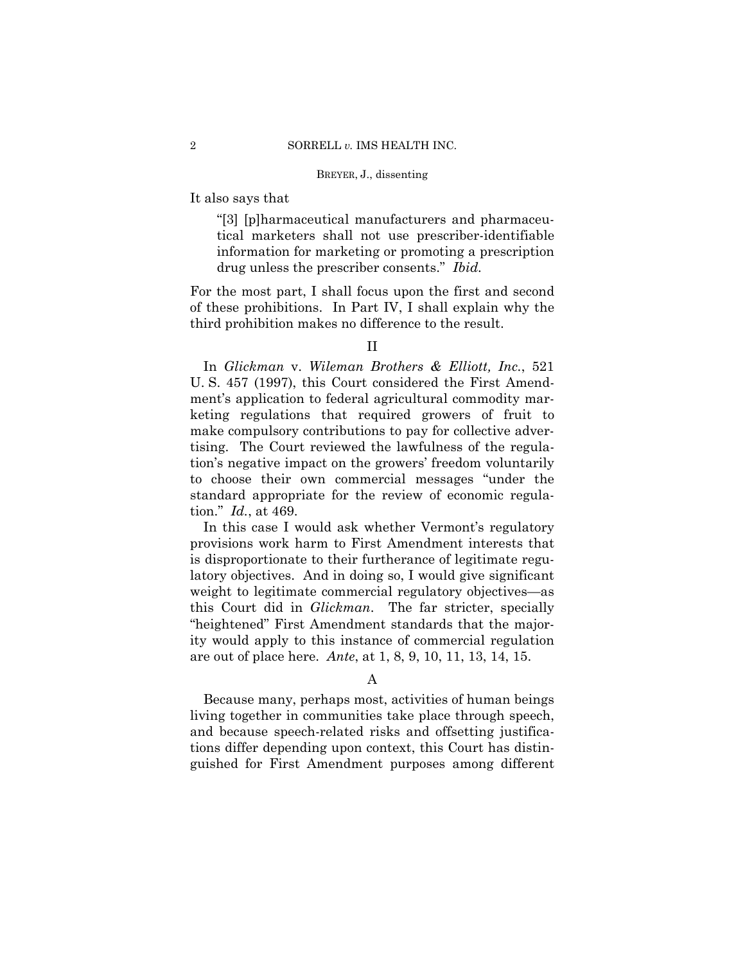It also says that

"[3] [p]harmaceutical manufacturers and pharmaceutical marketers shall not use prescriber-identifiable information for marketing or promoting a prescription drug unless the prescriber consents." *Ibid.* 

For the most part, I shall focus upon the first and second of these prohibitions. In Part IV, I shall explain why the third prohibition makes no difference to the result.

In *Glickman* v. *Wileman Brothers & Elliott, Inc.*, 521 U. S. 457 (1997), this Court considered the First Amendment's application to federal agricultural commodity marketing regulations that required growers of fruit to make compulsory contributions to pay for collective advertising. The Court reviewed the lawfulness of the regulation's negative impact on the growers' freedom voluntarily to choose their own commercial messages "under the standard appropriate for the review of economic regulation." *Id.*, at 469.

In this case I would ask whether Vermont's regulatory provisions work harm to First Amendment interests that is disproportionate to their furtherance of legitimate regulatory objectives. And in doing so, I would give significant weight to legitimate commercial regulatory objectives—as this Court did in *Glickman*. The far stricter, specially "heightened" First Amendment standards that the majority would apply to this instance of commercial regulation are out of place here. *Ante*, at 1, 8, 9, 10, 11, 13, 14, 15.

Because many, perhaps most, activities of human beings living together in communities take place through speech, and because speech-related risks and offsetting justifications differ depending upon context, this Court has distinguished for First Amendment purposes among different

II

A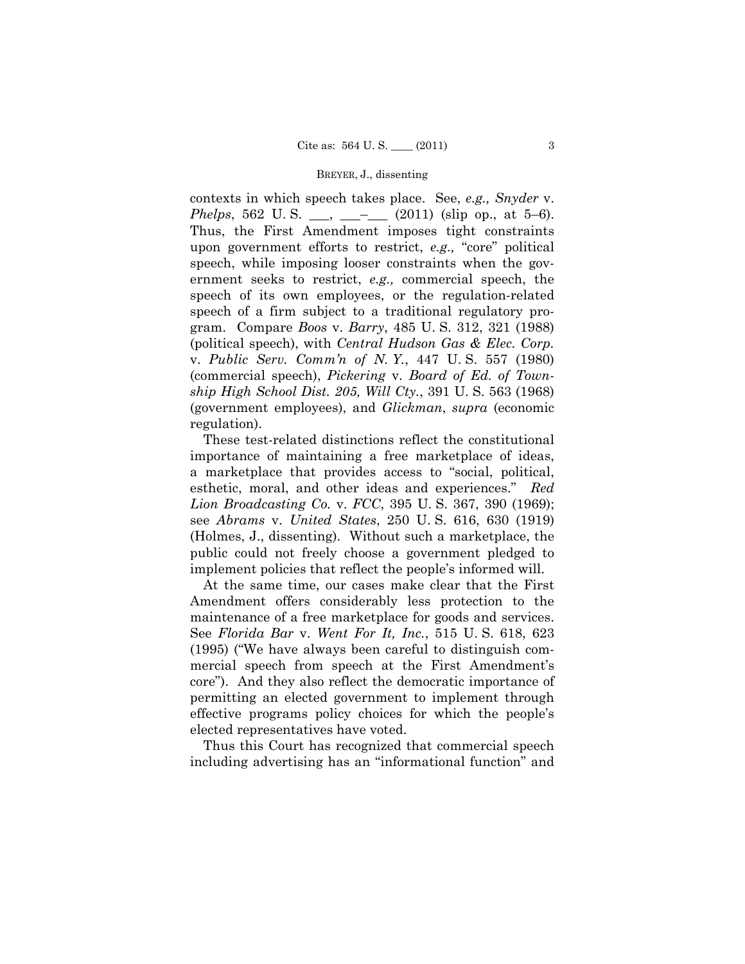contexts in which speech takes place. See, *e.g., Snyder* v. *Phelps*, 562 U.S. \_\_, \_\_\_\_\_  $(2011)$  (slip op., at 5–6). Thus, the First Amendment imposes tight constraints upon government efforts to restrict, *e.g.,* "core" political speech, while imposing looser constraints when the government seeks to restrict, *e.g.,* commercial speech, the speech of its own employees, or the regulation-related speech of a firm subject to a traditional regulatory program. Compare *Boos* v. *Barry*, 485 U. S. 312, 321 (1988) (political speech), with *Central Hudson Gas & Elec. Corp.*  v. *Public Serv. Comm'n of N. Y.*, 447 U. S. 557 (1980) (commercial speech), *Pickering* v. *Board of Ed. of Township High School Dist. 205, Will Cty.*, 391 U. S. 563 (1968) (government employees), and *Glickman*, *supra* (economic regulation).

These test-related distinctions reflect the constitutional importance of maintaining a free marketplace of ideas, a marketplace that provides access to "social, political, esthetic, moral, and other ideas and experiences." *Red Lion Broadcasting Co.* v. *FCC*, 395 U. S. 367, 390 (1969); see *Abrams* v. *United States*, 250 U. S. 616, 630 (1919) (Holmes, J., dissenting). Without such a marketplace, the public could not freely choose a government pledged to implement policies that reflect the people's informed will.

At the same time, our cases make clear that the First Amendment offers considerably less protection to the maintenance of a free marketplace for goods and services. See *Florida Bar* v. *Went For It, Inc.*, 515 U. S. 618, 623 (1995) ("We have always been careful to distinguish commercial speech from speech at the First Amendment's core"). And they also reflect the democratic importance of permitting an elected government to implement through effective programs policy choices for which the people's elected representatives have voted.

Thus this Court has recognized that commercial speech including advertising has an "informational function" and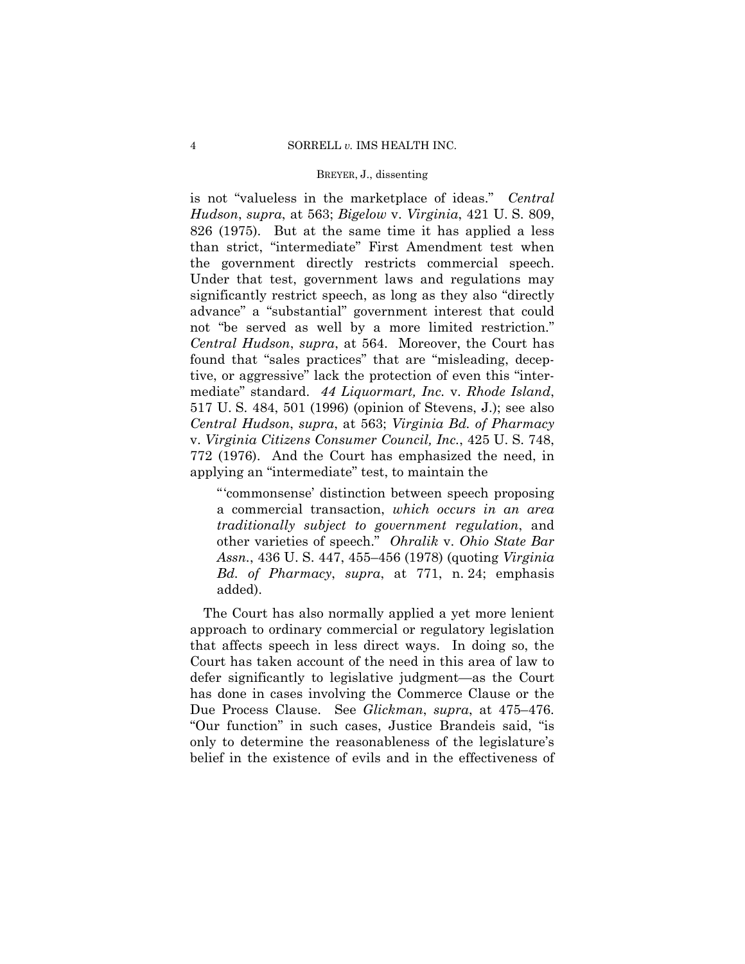is not "valueless in the marketplace of ideas." *Central Hudson*, *supra*, at 563; *Bigelow* v. *Virginia*, 421 U. S. 809, 826 (1975). But at the same time it has applied a less than strict, "intermediate" First Amendment test when the government directly restricts commercial speech. Under that test, government laws and regulations may significantly restrict speech, as long as they also "directly advance" a "substantial" government interest that could not "be served as well by a more limited restriction." *Central Hudson*, *supra*, at 564. Moreover, the Court has found that "sales practices" that are "misleading, deceptive, or aggressive" lack the protection of even this "intermediate" standard. *44 Liquormart, Inc.* v. *Rhode Island*, 517 U. S. 484, 501 (1996) (opinion of Stevens, J.); see also *Central Hudson*, *supra*, at 563; *Virginia Bd. of Pharmacy*  v. *Virginia Citizens Consumer Council, Inc.*, 425 U. S. 748, 772 (1976). And the Court has emphasized the need, in applying an "intermediate" test, to maintain the

"'commonsense' distinction between speech proposing a commercial transaction, *which occurs in an area traditionally subject to government regulation*, and other varieties of speech." *Ohralik* v. *Ohio State Bar Assn.*, 436 U. S. 447, 455–456 (1978) (quoting *Virginia Bd. of Pharmacy*, *supra*, at 771, n. 24; emphasis added).

The Court has also normally applied a yet more lenient approach to ordinary commercial or regulatory legislation that affects speech in less direct ways. In doing so, the Court has taken account of the need in this area of law to defer significantly to legislative judgment—as the Court has done in cases involving the Commerce Clause or the Due Process Clause. See *Glickman*, *supra*, at 475–476. "Our function" in such cases, Justice Brandeis said, "is only to determine the reasonableness of the legislature's belief in the existence of evils and in the effectiveness of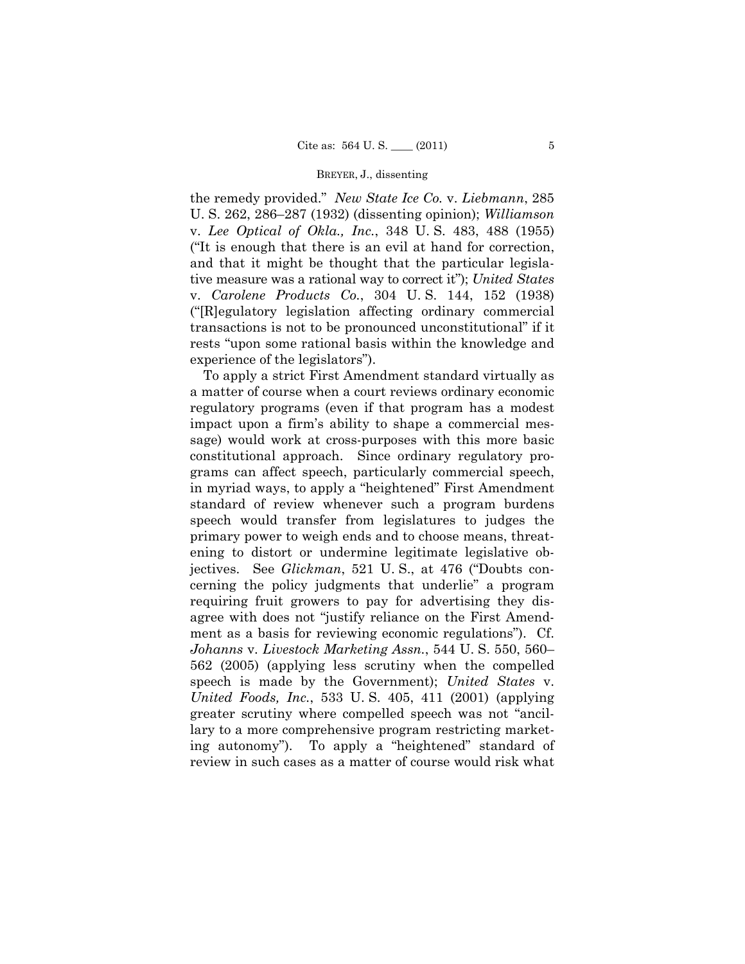the remedy provided." *New State Ice Co.* v. *Liebmann*, 285 U. S. 262, 286–287 (1932) (dissenting opinion); *Williamson*  v. *Lee Optical of Okla., Inc.*, 348 U. S. 483, 488 (1955) ("It is enough that there is an evil at hand for correction, and that it might be thought that the particular legislative measure was a rational way to correct it"); *United States*  v. *Carolene Products Co.*, 304 U. S. 144, 152 (1938) ("[R]egulatory legislation affecting ordinary commercial transactions is not to be pronounced unconstitutional" if it rests "upon some rational basis within the knowledge and experience of the legislators").

To apply a strict First Amendment standard virtually as a matter of course when a court reviews ordinary economic regulatory programs (even if that program has a modest impact upon a firm's ability to shape a commercial message) would work at cross-purposes with this more basic constitutional approach. Since ordinary regulatory programs can affect speech, particularly commercial speech, in myriad ways, to apply a "heightened" First Amendment standard of review whenever such a program burdens speech would transfer from legislatures to judges the primary power to weigh ends and to choose means, threatening to distort or undermine legitimate legislative objectives. See *Glickman*, 521 U. S., at 476 ("Doubts concerning the policy judgments that underlie" a program requiring fruit growers to pay for advertising they disagree with does not "justify reliance on the First Amendment as a basis for reviewing economic regulations"). Cf. *Johanns* v. *Livestock Marketing Assn.*, 544 U. S. 550, 560– 562 (2005) (applying less scrutiny when the compelled speech is made by the Government); *United States* v. *United Foods, Inc.*, 533 U. S. 405, 411 (2001) (applying greater scrutiny where compelled speech was not "ancillary to a more comprehensive program restricting marketing autonomy"). To apply a "heightened" standard of review in such cases as a matter of course would risk what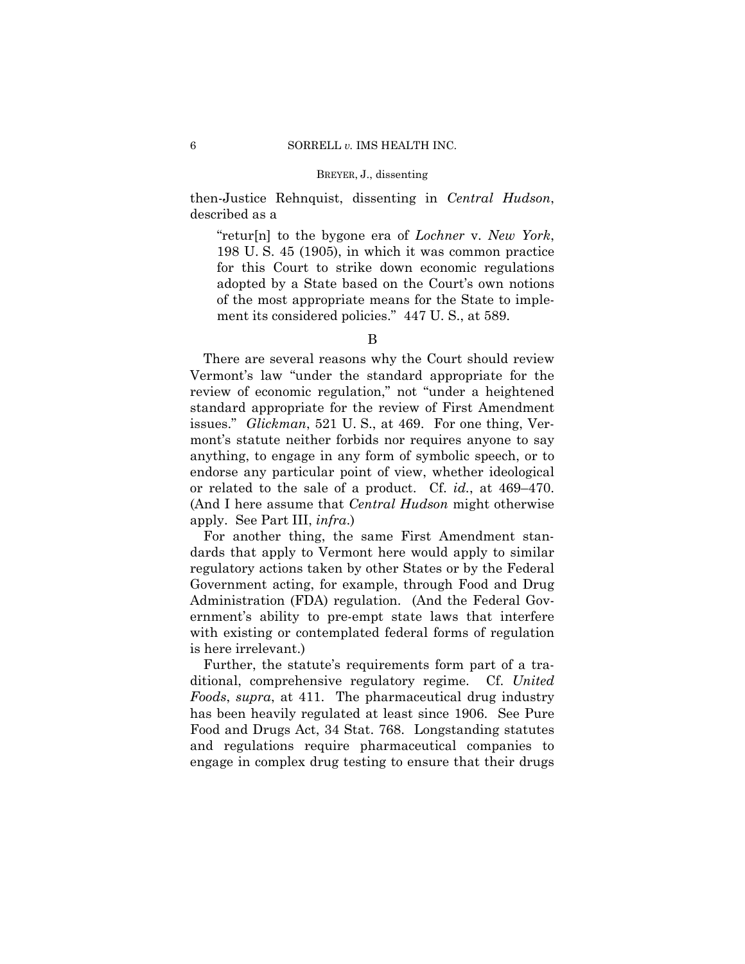then-Justice Rehnquist, dissenting in *Central Hudson*, described as a

"retur[n] to the bygone era of *Lochner* v. *New York*, 198 U. S. 45 (1905), in which it was common practice for this Court to strike down economic regulations adopted by a State based on the Court's own notions of the most appropriate means for the State to implement its considered policies." 447 U. S., at 589.

B

There are several reasons why the Court should review Vermont's law "under the standard appropriate for the review of economic regulation," not "under a heightened standard appropriate for the review of First Amendment issues." *Glickman*, 521 U. S., at 469. For one thing, Vermont's statute neither forbids nor requires anyone to say anything, to engage in any form of symbolic speech, or to endorse any particular point of view, whether ideological or related to the sale of a product. Cf. *id.*, at 469–470. (And I here assume that *Central Hudson* might otherwise apply. See Part III, *infra*.)

For another thing, the same First Amendment standards that apply to Vermont here would apply to similar regulatory actions taken by other States or by the Federal Government acting, for example, through Food and Drug Administration (FDA) regulation. (And the Federal Government's ability to pre-empt state laws that interfere with existing or contemplated federal forms of regulation is here irrelevant.)

Further, the statute's requirements form part of a traditional, comprehensive regulatory regime. Cf. *United Foods*, *supra*, at 411. The pharmaceutical drug industry has been heavily regulated at least since 1906. See Pure Food and Drugs Act, 34 Stat. 768. Longstanding statutes and regulations require pharmaceutical companies to engage in complex drug testing to ensure that their drugs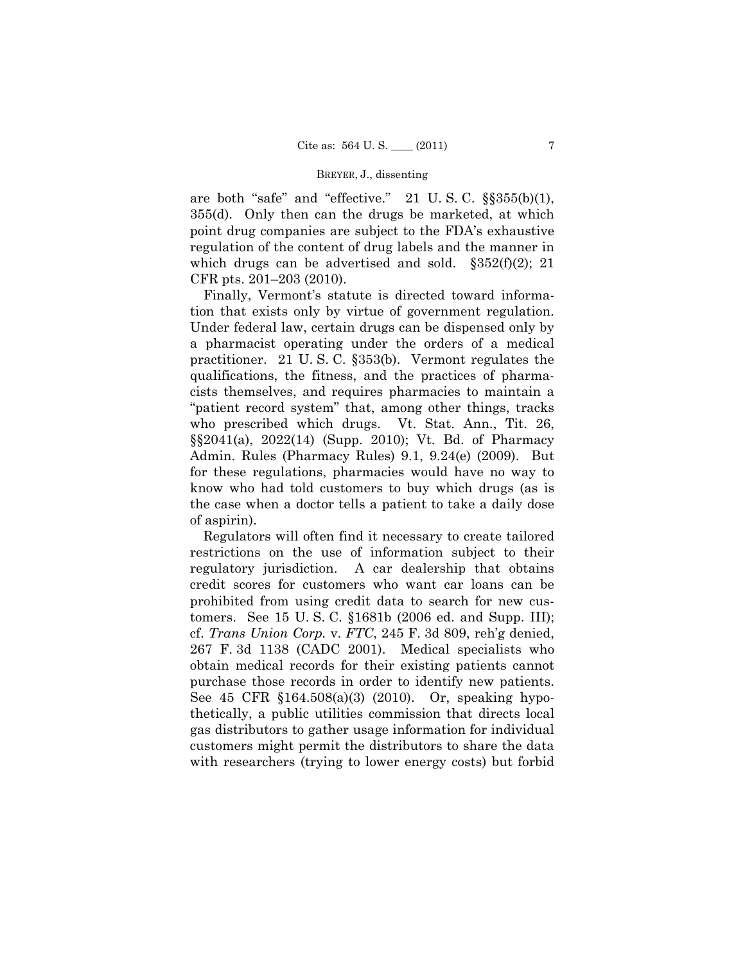are both "safe" and "effective." 21 U.S.C.  $\S$  $\S$ 355(b)(1), 355(d). Only then can the drugs be marketed, at which point drug companies are subject to the FDA's exhaustive regulation of the content of drug labels and the manner in which drugs can be advertised and sold.  $\S 352(f)(2)$ ; 21 CFR pts. 201–203 (2010).

Finally, Vermont's statute is directed toward information that exists only by virtue of government regulation. Under federal law, certain drugs can be dispensed only by a pharmacist operating under the orders of a medical practitioner. 21 U. S. C. §353(b). Vermont regulates the qualifications, the fitness, and the practices of pharmacists themselves, and requires pharmacies to maintain a "patient record system" that, among other things, tracks who prescribed which drugs. Vt. Stat. Ann., Tit. 26, §§2041(a), 2022(14) (Supp. 2010); Vt. Bd. of Pharmacy Admin. Rules (Pharmacy Rules) 9.1, 9.24(e) (2009). But for these regulations, pharmacies would have no way to know who had told customers to buy which drugs (as is the case when a doctor tells a patient to take a daily dose of aspirin).

Regulators will often find it necessary to create tailored restrictions on the use of information subject to their regulatory jurisdiction. A car dealership that obtains credit scores for customers who want car loans can be prohibited from using credit data to search for new customers. See 15 U. S. C. §1681b (2006 ed. and Supp. III); cf. *Trans Union Corp.* v. *FTC*, 245 F. 3d 809, reh'g denied, 267 F. 3d 1138 (CADC 2001). Medical specialists who obtain medical records for their existing patients cannot purchase those records in order to identify new patients. See 45 CFR §164.508(a)(3) (2010). Or, speaking hypothetically, a public utilities commission that directs local gas distributors to gather usage information for individual customers might permit the distributors to share the data with researchers (trying to lower energy costs) but forbid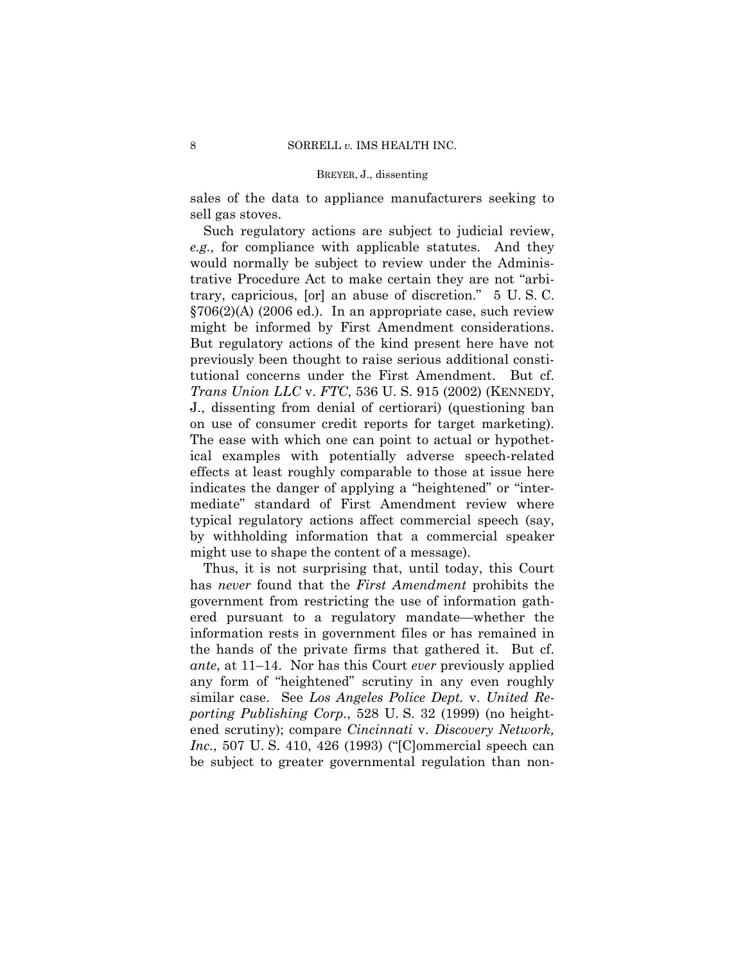sales of the data to appliance manufacturers seeking to sell gas stoves.

Such regulatory actions are subject to judicial review, *e.g.,* for compliance with applicable statutes. And they would normally be subject to review under the Administrative Procedure Act to make certain they are not "arbitrary, capricious, [or] an abuse of discretion." 5 U. S. C. §706(2)(A) (2006 ed.). In an appropriate case, such review might be informed by First Amendment considerations. But regulatory actions of the kind present here have not previously been thought to raise serious additional constitutional concerns under the First Amendment. But cf. *Trans Union LLC* v. *FTC*, 536 U. S. 915 (2002) (KENNEDY, J., dissenting from denial of certiorari) (questioning ban on use of consumer credit reports for target marketing). The ease with which one can point to actual or hypothetical examples with potentially adverse speech-related effects at least roughly comparable to those at issue here indicates the danger of applying a "heightened" or "intermediate" standard of First Amendment review where typical regulatory actions affect commercial speech (say, by withholding information that a commercial speaker might use to shape the content of a message).

Thus, it is not surprising that, until today, this Court has *never* found that the *First Amendment* prohibits the government from restricting the use of information gathered pursuant to a regulatory mandate—whether the information rests in government files or has remained in the hands of the private firms that gathered it. But cf. *ante*, at 11–14. Nor has this Court *ever* previously applied any form of "heightened" scrutiny in any even roughly similar case. See *Los Angeles Police Dept.* v. *United Reporting Publishing Corp.*, 528 U. S. 32 (1999) (no heightened scrutiny); compare *Cincinnati* v. *Discovery Network, Inc.*, 507 U. S. 410, 426 (1993) ("[C]ommercial speech can be subject to greater governmental regulation than non-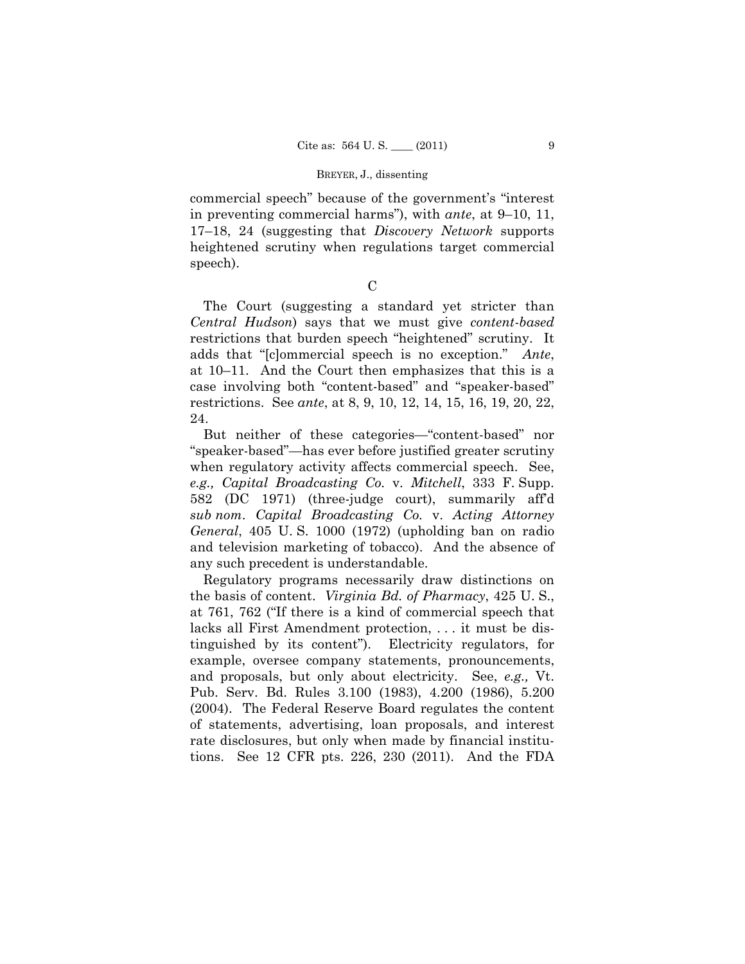commercial speech" because of the government's "interest in preventing commercial harms"), with *ante*, at 9–10, 11, 17–18, 24 (suggesting that *Discovery Network* supports heightened scrutiny when regulations target commercial speech).

 $\mathcal{C}$ 

The Court (suggesting a standard yet stricter than *Central Hudson*) says that we must give *content-based*  restrictions that burden speech "heightened" scrutiny. It adds that "[c]ommercial speech is no exception." *Ante*, at 10–11. And the Court then emphasizes that this is a case involving both "content-based" and "speaker-based" restrictions. See *ante*, at 8, 9, 10, 12, 14, 15, 16, 19, 20, 22, 24.

But neither of these categories—"content-based" nor "speaker-based"—has ever before justified greater scrutiny when regulatory activity affects commercial speech. See, *e.g., Capital Broadcasting Co.* v. *Mitchell*, 333 F. Supp. 582 (DC 1971) (three-judge court), summarily aff'd *sub nom*. *Capital Broadcasting Co.* v. *Acting Attorney General*, 405 U. S. 1000 (1972) (upholding ban on radio and television marketing of tobacco). And the absence of any such precedent is understandable.

Regulatory programs necessarily draw distinctions on the basis of content. *Virginia Bd. of Pharmacy*, 425 U. S., at 761, 762 ("If there is a kind of commercial speech that lacks all First Amendment protection, . . . it must be distinguished by its content"). Electricity regulators, for example, oversee company statements, pronouncements, and proposals, but only about electricity. See, *e.g.,* Vt. Pub. Serv. Bd. Rules 3.100 (1983), 4.200 (1986), 5.200 (2004). The Federal Reserve Board regulates the content of statements, advertising, loan proposals, and interest rate disclosures, but only when made by financial institutions. See 12 CFR pts. 226, 230 (2011). And the FDA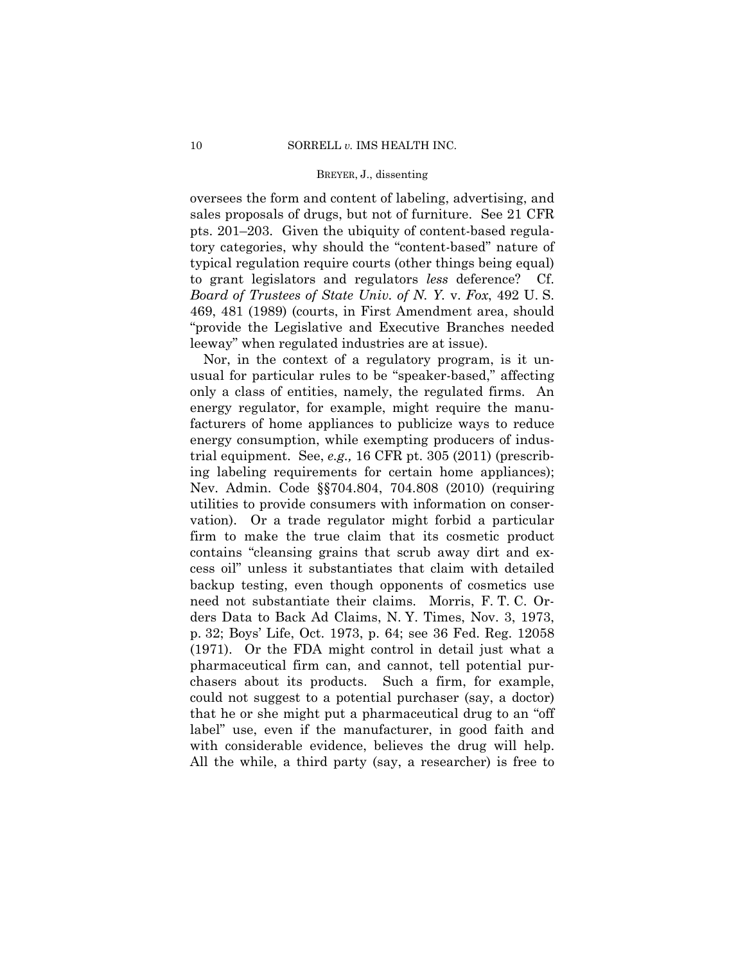oversees the form and content of labeling, advertising, and sales proposals of drugs, but not of furniture. See 21 CFR pts. 201–203. Given the ubiquity of content-based regulatory categories, why should the "content-based" nature of typical regulation require courts (other things being equal) to grant legislators and regulators *less* deference? Cf. *Board of Trustees of State Univ. of N. Y.* v. *Fox*, 492 U. S. 469, 481 (1989) (courts, in First Amendment area, should "provide the Legislative and Executive Branches needed leeway" when regulated industries are at issue).

Nor, in the context of a regulatory program, is it unusual for particular rules to be "speaker-based," affecting only a class of entities, namely, the regulated firms. An energy regulator, for example, might require the manufacturers of home appliances to publicize ways to reduce energy consumption, while exempting producers of industrial equipment. See, *e.g.,* 16 CFR pt. 305 (2011) (prescribing labeling requirements for certain home appliances); Nev. Admin. Code §§704.804, 704.808 (2010) (requiring utilities to provide consumers with information on conservation). Or a trade regulator might forbid a particular firm to make the true claim that its cosmetic product contains "cleansing grains that scrub away dirt and excess oil" unless it substantiates that claim with detailed backup testing, even though opponents of cosmetics use need not substantiate their claims. Morris, F. T. C. Orders Data to Back Ad Claims, N. Y. Times, Nov. 3, 1973, p. 32; Boys' Life, Oct. 1973, p. 64; see 36 Fed. Reg. 12058 (1971). Or the FDA might control in detail just what a pharmaceutical firm can, and cannot, tell potential purchasers about its products. Such a firm, for example, could not suggest to a potential purchaser (say, a doctor) that he or she might put a pharmaceutical drug to an "off label" use, even if the manufacturer, in good faith and with considerable evidence, believes the drug will help. All the while, a third party (say, a researcher) is free to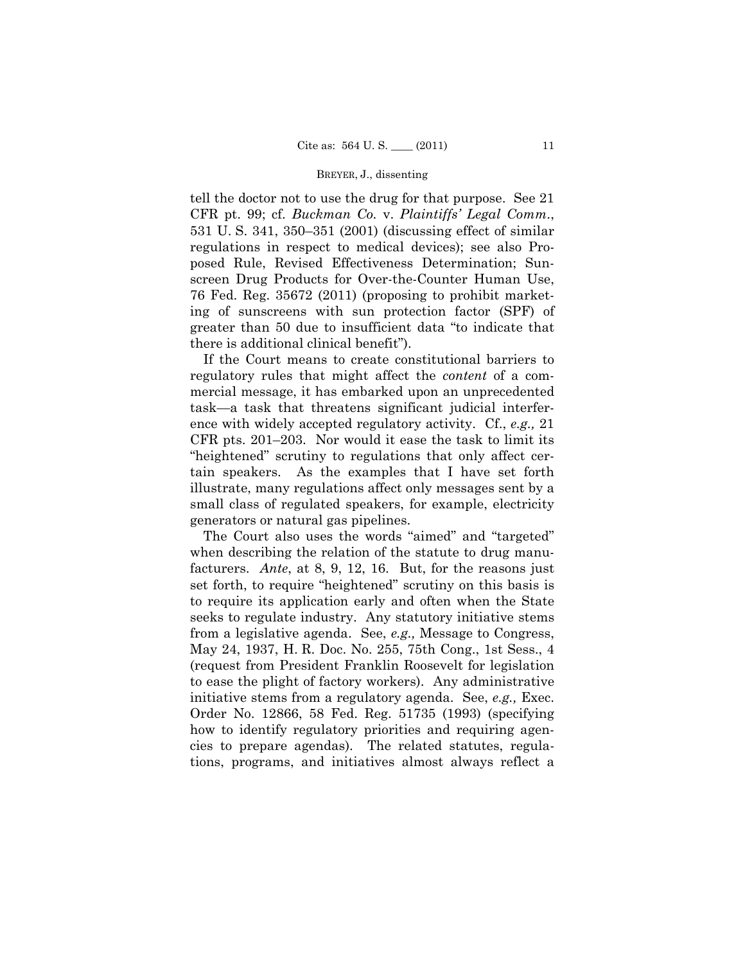tell the doctor not to use the drug for that purpose. See 21 CFR pt. 99; cf. *Buckman Co.* v. *Plaintiffs' Legal Comm*., 531 U. S. 341, 350–351 (2001) (discussing effect of similar regulations in respect to medical devices); see also Proposed Rule, Revised Effectiveness Determination; Sunscreen Drug Products for Over-the-Counter Human Use, 76 Fed. Reg. 35672 (2011) (proposing to prohibit marketing of sunscreens with sun protection factor (SPF) of greater than 50 due to insufficient data "to indicate that there is additional clinical benefit").

If the Court means to create constitutional barriers to regulatory rules that might affect the *content* of a commercial message, it has embarked upon an unprecedented task—a task that threatens significant judicial interference with widely accepted regulatory activity. Cf., *e.g.,* 21 CFR pts. 201–203. Nor would it ease the task to limit its "heightened" scrutiny to regulations that only affect certain speakers. As the examples that I have set forth illustrate, many regulations affect only messages sent by a small class of regulated speakers, for example, electricity generators or natural gas pipelines.

The Court also uses the words "aimed" and "targeted" when describing the relation of the statute to drug manufacturers. *Ante*, at 8, 9, 12, 16. But, for the reasons just set forth, to require "heightened" scrutiny on this basis is to require its application early and often when the State seeks to regulate industry. Any statutory initiative stems from a legislative agenda. See, *e.g.,* Message to Congress, May 24, 1937, H. R. Doc. No. 255, 75th Cong., 1st Sess., 4 (request from President Franklin Roosevelt for legislation to ease the plight of factory workers). Any administrative initiative stems from a regulatory agenda. See, *e.g.,* Exec. Order No. 12866, 58 Fed. Reg. 51735 (1993) (specifying how to identify regulatory priorities and requiring agencies to prepare agendas). The related statutes, regulations, programs, and initiatives almost always reflect a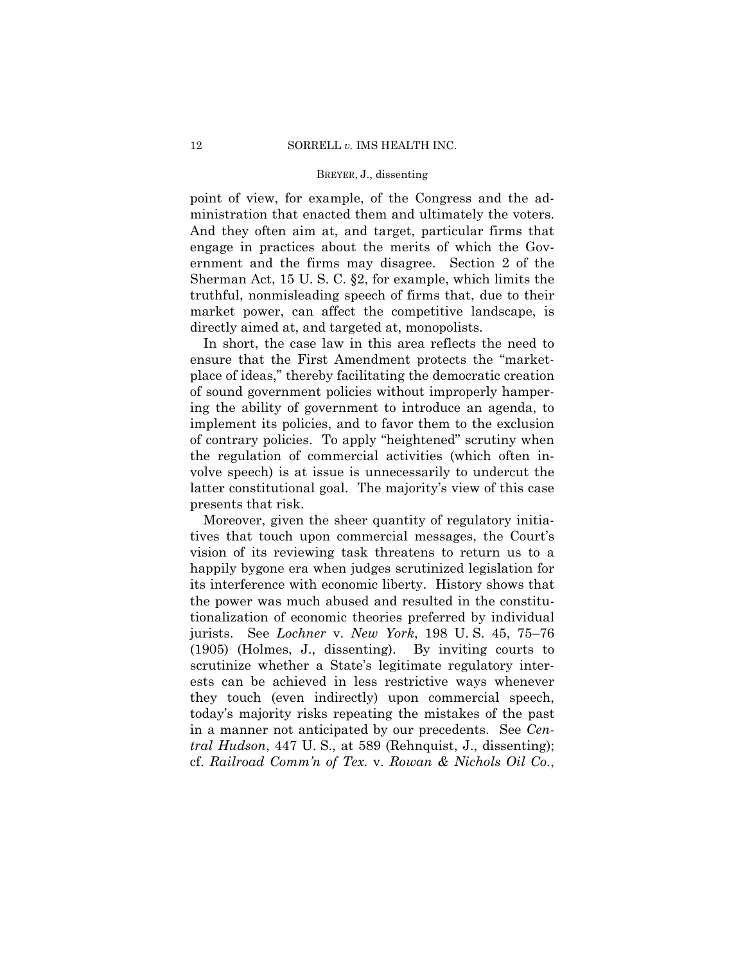point of view, for example, of the Congress and the administration that enacted them and ultimately the voters. And they often aim at, and target, particular firms that engage in practices about the merits of which the Government and the firms may disagree. Section 2 of the Sherman Act, 15 U. S. C. §2, for example, which limits the truthful, nonmisleading speech of firms that, due to their market power, can affect the competitive landscape, is directly aimed at, and targeted at, monopolists.

In short, the case law in this area reflects the need to ensure that the First Amendment protects the "marketplace of ideas," thereby facilitating the democratic creation of sound government policies without improperly hampering the ability of government to introduce an agenda, to implement its policies, and to favor them to the exclusion of contrary policies. To apply "heightened" scrutiny when the regulation of commercial activities (which often involve speech) is at issue is unnecessarily to undercut the latter constitutional goal. The majority's view of this case presents that risk.

Moreover, given the sheer quantity of regulatory initiatives that touch upon commercial messages, the Court's vision of its reviewing task threatens to return us to a happily bygone era when judges scrutinized legislation for its interference with economic liberty. History shows that the power was much abused and resulted in the constitutionalization of economic theories preferred by individual jurists. See *Lochner* v. *New York*, 198 U. S. 45, 75–76 (1905) (Holmes, J., dissenting). By inviting courts to scrutinize whether a State's legitimate regulatory interests can be achieved in less restrictive ways whenever they touch (even indirectly) upon commercial speech, today's majority risks repeating the mistakes of the past in a manner not anticipated by our precedents. See *Central Hudson*, 447 U. S., at 589 (Rehnquist, J., dissenting); cf. *Railroad Comm'n of Tex.* v. *Rowan & Nichols Oil Co.*,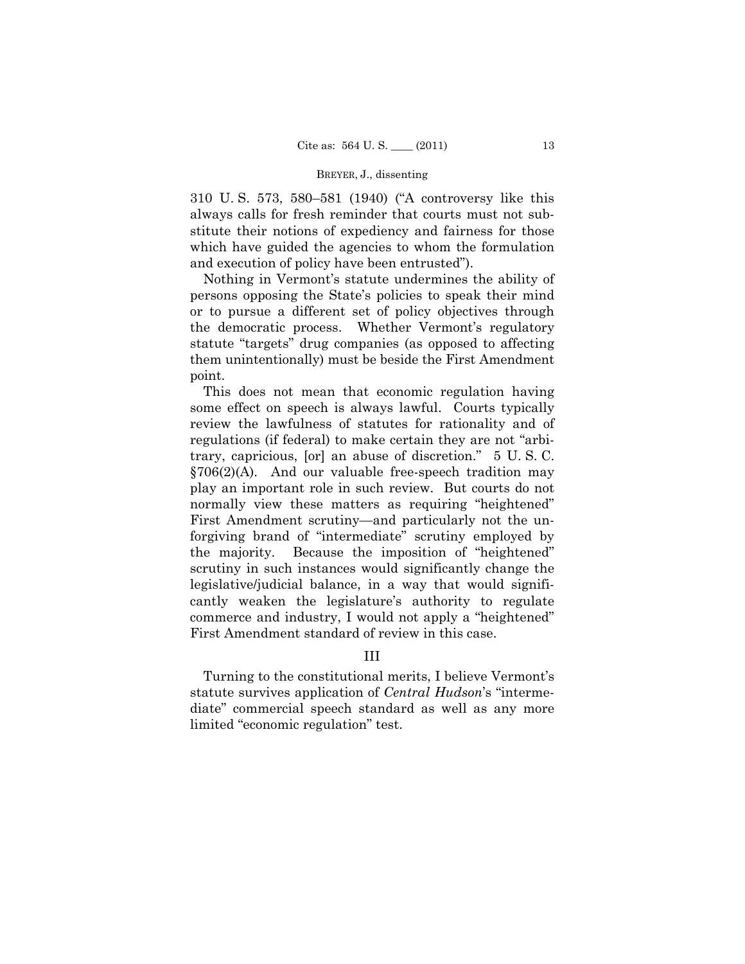310 U. S. 573, 580–581 (1940) ("A controversy like this always calls for fresh reminder that courts must not substitute their notions of expediency and fairness for those which have guided the agencies to whom the formulation and execution of policy have been entrusted").

Nothing in Vermont's statute undermines the ability of persons opposing the State's policies to speak their mind or to pursue a different set of policy objectives through the democratic process. Whether Vermont's regulatory statute "targets" drug companies (as opposed to affecting them unintentionally) must be beside the First Amendment point.

This does not mean that economic regulation having some effect on speech is always lawful. Courts typically review the lawfulness of statutes for rationality and of regulations (if federal) to make certain they are not "arbitrary, capricious, [or] an abuse of discretion." 5 U. S. C. §706(2)(A). And our valuable free-speech tradition may play an important role in such review. But courts do not normally view these matters as requiring "heightened" First Amendment scrutiny—and particularly not the unforgiving brand of "intermediate" scrutiny employed by the majority. Because the imposition of "heightened" scrutiny in such instances would significantly change the legislative/judicial balance, in a way that would significantly weaken the legislature's authority to regulate commerce and industry, I would not apply a "heightened" First Amendment standard of review in this case.

# III

Turning to the constitutional merits, I believe Vermont's statute survives application of *Central Hudson*'s "intermediate" commercial speech standard as well as any more limited "economic regulation" test.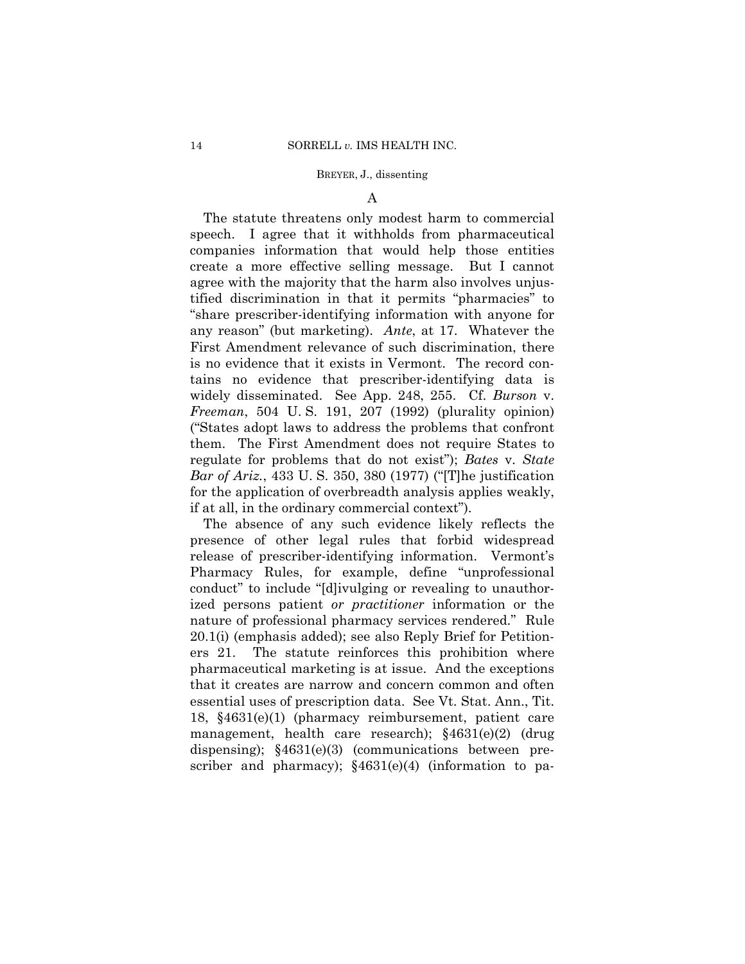A

The statute threatens only modest harm to commercial speech. I agree that it withholds from pharmaceutical companies information that would help those entities create a more effective selling message. But I cannot agree with the majority that the harm also involves unjustified discrimination in that it permits "pharmacies" to "share prescriber-identifying information with anyone for any reason" (but marketing). *Ante*, at 17. Whatever the First Amendment relevance of such discrimination, there is no evidence that it exists in Vermont. The record contains no evidence that prescriber-identifying data is widely disseminated. See App. 248, 255. Cf. *Burson* v. *Freeman*, 504 U. S. 191, 207 (1992) (plurality opinion) ("States adopt laws to address the problems that confront them. The First Amendment does not require States to regulate for problems that do not exist"); *Bates* v. *State Bar of Ariz.*, 433 U. S. 350, 380 (1977) ("[T]he justification for the application of overbreadth analysis applies weakly, if at all, in the ordinary commercial context").

The absence of any such evidence likely reflects the presence of other legal rules that forbid widespread release of prescriber-identifying information. Vermont's Pharmacy Rules, for example, define "unprofessional conduct" to include "[d]ivulging or revealing to unauthorized persons patient *or practitioner* information or the nature of professional pharmacy services rendered." Rule 20.1(i) (emphasis added); see also Reply Brief for Petitioners 21. The statute reinforces this prohibition where pharmaceutical marketing is at issue. And the exceptions that it creates are narrow and concern common and often essential uses of prescription data. See Vt. Stat. Ann., Tit. 18, §4631(e)(1) (pharmacy reimbursement, patient care management, health care research); §4631(e)(2) (drug dispensing); §4631(e)(3) (communications between prescriber and pharmacy);  $§4631(e)(4)$  (information to pa-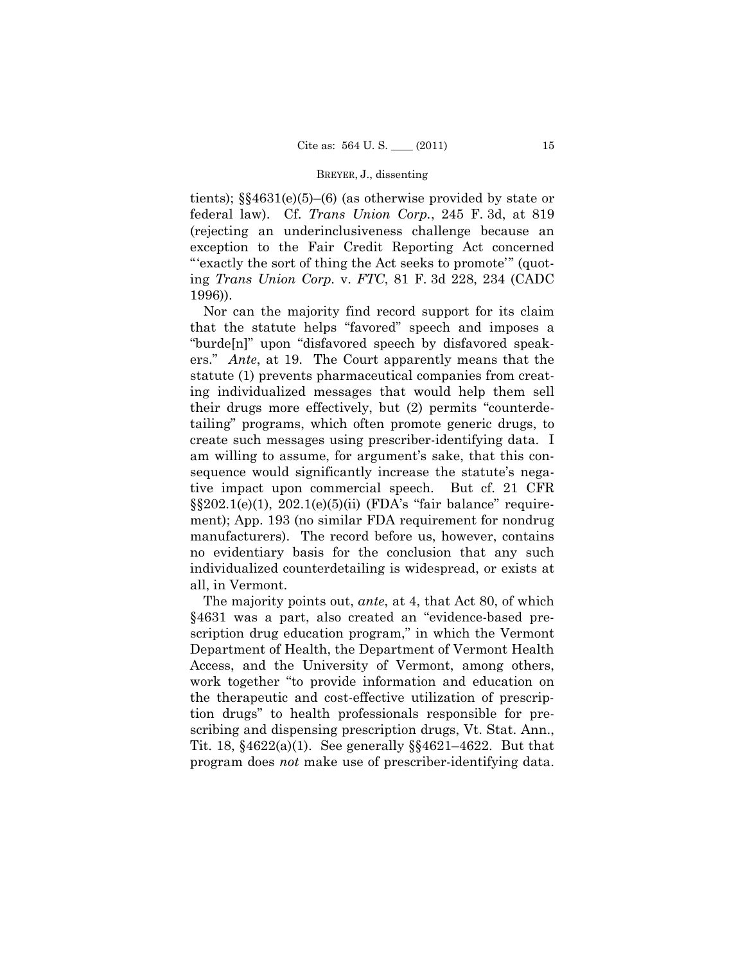tients); §§4631(e)(5)–(6) (as otherwise provided by state or federal law). Cf. *Trans Union Corp.*, 245 F. 3d, at 819 (rejecting an underinclusiveness challenge because an exception to the Fair Credit Reporting Act concerned "'exactly the sort of thing the Act seeks to promote'" (quoting *Trans Union Corp.* v. *FTC*, 81 F. 3d 228, 234 (CADC 1996)).

Nor can the majority find record support for its claim that the statute helps "favored" speech and imposes a "burde[n]" upon "disfavored speech by disfavored speakers." *Ante*, at 19. The Court apparently means that the statute (1) prevents pharmaceutical companies from creating individualized messages that would help them sell their drugs more effectively, but (2) permits "counterdetailing" programs, which often promote generic drugs, to create such messages using prescriber-identifying data. I am willing to assume, for argument's sake, that this consequence would significantly increase the statute's negative impact upon commercial speech. But cf. 21 CFR  $\S$ \$202.1(e)(1), 202.1(e)(5)(ii) (FDA's "fair balance" requirement); App. 193 (no similar FDA requirement for nondrug manufacturers). The record before us, however, contains no evidentiary basis for the conclusion that any such individualized counterdetailing is widespread, or exists at all, in Vermont.

The majority points out, *ante*, at 4, that Act 80, of which §4631 was a part, also created an "evidence-based prescription drug education program," in which the Vermont Department of Health, the Department of Vermont Health Access, and the University of Vermont, among others, work together "to provide information and education on the therapeutic and cost-effective utilization of prescription drugs" to health professionals responsible for prescribing and dispensing prescription drugs, Vt. Stat. Ann., Tit. 18, §4622(a)(1). See generally §§4621–4622. But that program does *not* make use of prescriber-identifying data.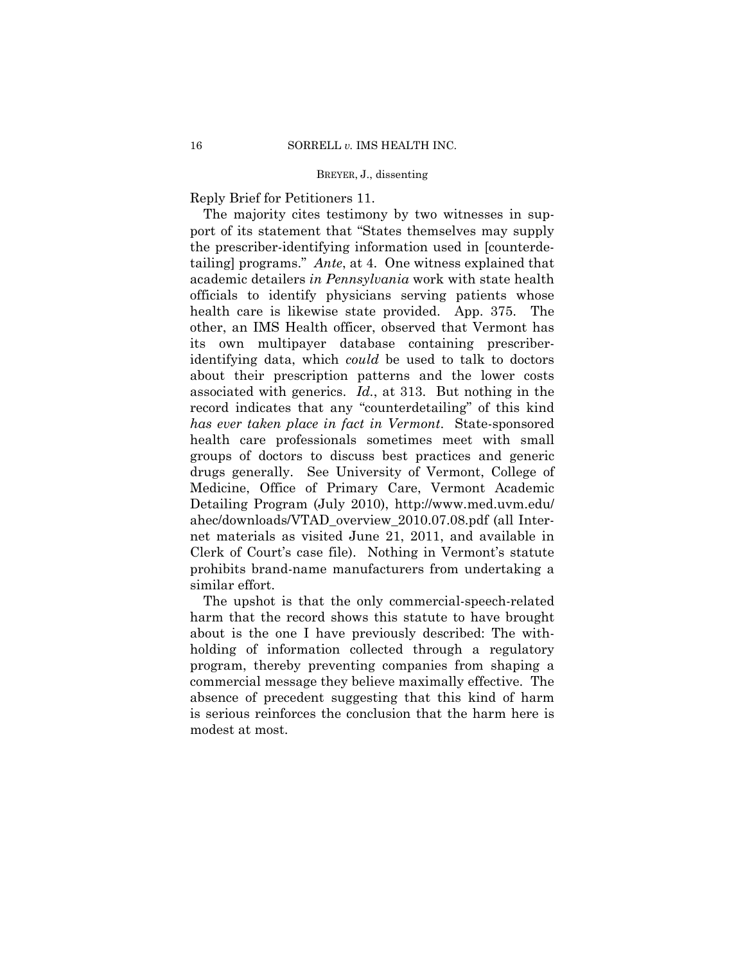Reply Brief for Petitioners 11.

The majority cites testimony by two witnesses in support of its statement that "States themselves may supply the prescriber-identifying information used in [counterdetailing] programs." *Ante*, at 4. One witness explained that academic detailers *in Pennsylvania* work with state health officials to identify physicians serving patients whose health care is likewise state provided. App. 375. The other, an IMS Health officer, observed that Vermont has its own multipayer database containing prescriberidentifying data, which *could* be used to talk to doctors about their prescription patterns and the lower costs associated with generics. *Id.*, at 313. But nothing in the record indicates that any "counterdetailing" of this kind *has ever taken place in fact in Vermont*. State-sponsored health care professionals sometimes meet with small groups of doctors to discuss best practices and generic drugs generally. See University of Vermont, College of Medicine, Office of Primary Care, Vermont Academic Detailing Program (July 2010), http://www.med.uvm.edu/ ahec/downloads/VTAD\_overview\_2010.07.08.pdf (all Internet materials as visited June 21, 2011, and available in Clerk of Court's case file). Nothing in Vermont's statute prohibits brand-name manufacturers from undertaking a similar effort.

The upshot is that the only commercial-speech-related harm that the record shows this statute to have brought about is the one I have previously described: The withholding of information collected through a regulatory program, thereby preventing companies from shaping a commercial message they believe maximally effective. The absence of precedent suggesting that this kind of harm is serious reinforces the conclusion that the harm here is modest at most.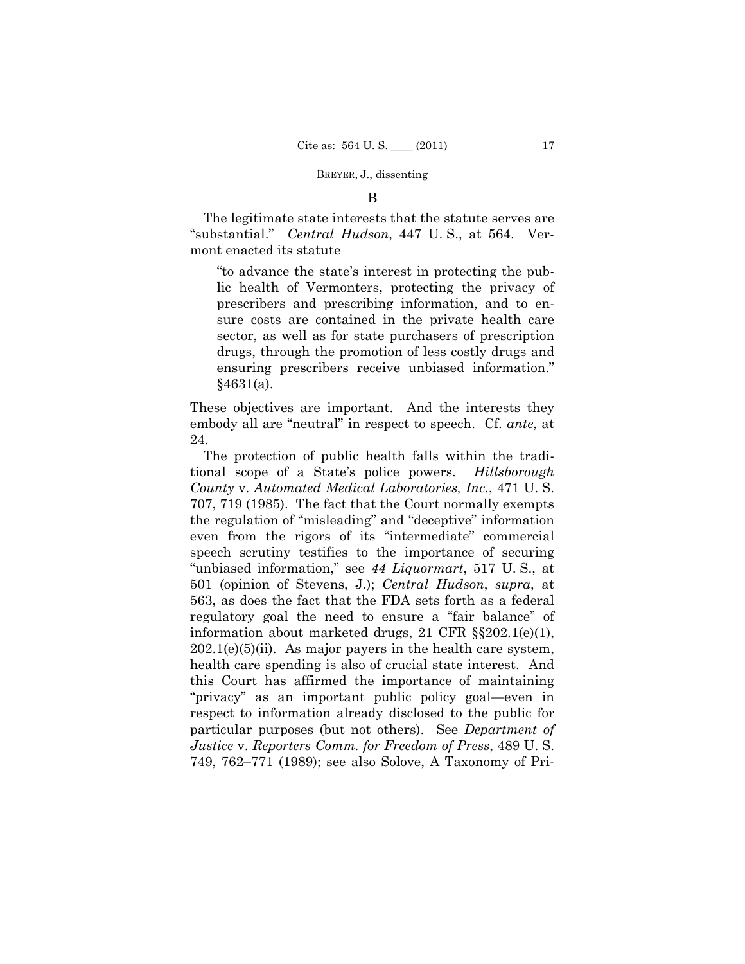#### B

The legitimate state interests that the statute serves are "substantial." *Central Hudson*, 447 U. S., at 564. Vermont enacted its statute

"to advance the state's interest in protecting the public health of Vermonters, protecting the privacy of prescribers and prescribing information, and to ensure costs are contained in the private health care sector, as well as for state purchasers of prescription drugs, through the promotion of less costly drugs and ensuring prescribers receive unbiased information." §4631(a).

These objectives are important. And the interests they embody all are "neutral" in respect to speech. Cf. *ante*, at 24.

The protection of public health falls within the traditional scope of a State's police powers. *Hillsborough County* v. *Automated Medical Laboratories, Inc.*, 471 U. S. 707, 719 (1985). The fact that the Court normally exempts the regulation of "misleading" and "deceptive" information even from the rigors of its "intermediate" commercial speech scrutiny testifies to the importance of securing "unbiased information," see *44 Liquormart*, 517 U. S., at 501 (opinion of Stevens, J.); *Central Hudson*, *supra*, at 563, as does the fact that the FDA sets forth as a federal regulatory goal the need to ensure a "fair balance" of information about marketed drugs, 21 CFR §§202.1(e)(1),  $202.1(e)(5)(ii)$ . As major payers in the health care system, health care spending is also of crucial state interest. And this Court has affirmed the importance of maintaining "privacy" as an important public policy goal—even in respect to information already disclosed to the public for particular purposes (but not others). See *Department of Justice* v. *Reporters Comm. for Freedom of Press*, 489 U. S. 749, 762–771 (1989); see also Solove, A Taxonomy of Pri-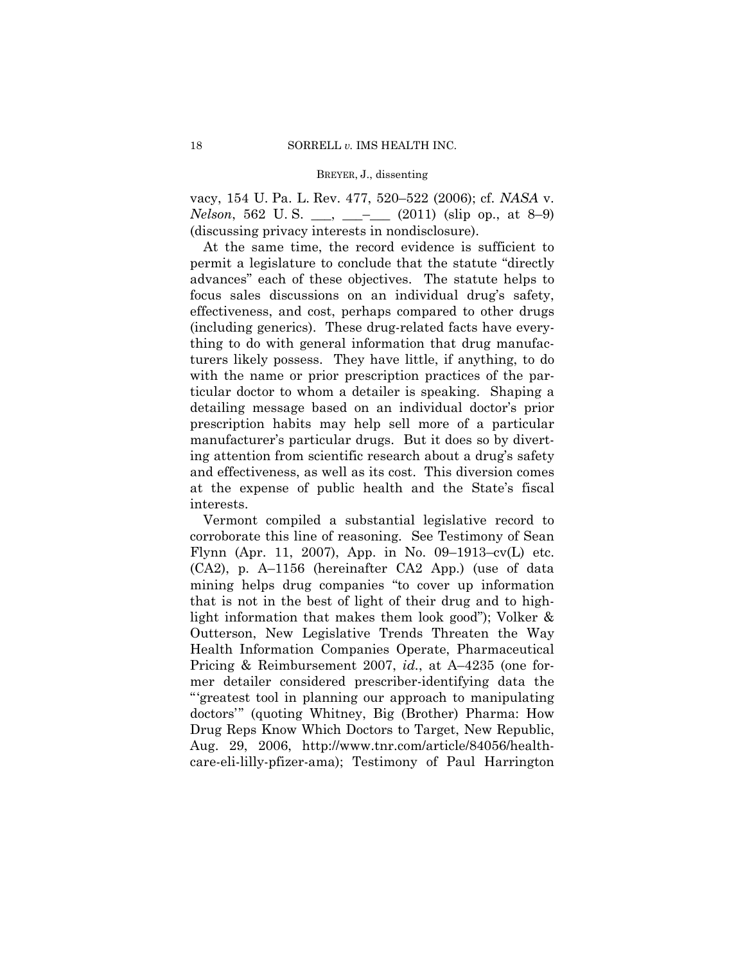vacy, 154 U. Pa. L. Rev. 477, 520–522 (2006); cf. *NASA* v. *Nelson*, 562 U.S. \_\_, \_\_\_\_\_  $(2011)$  (slip op., at 8–9) (discussing privacy interests in nondisclosure).

At the same time, the record evidence is sufficient to permit a legislature to conclude that the statute "directly advances" each of these objectives. The statute helps to focus sales discussions on an individual drug's safety, effectiveness, and cost, perhaps compared to other drugs (including generics). These drug-related facts have everything to do with general information that drug manufacturers likely possess. They have little, if anything, to do with the name or prior prescription practices of the particular doctor to whom a detailer is speaking. Shaping a detailing message based on an individual doctor's prior prescription habits may help sell more of a particular manufacturer's particular drugs. But it does so by diverting attention from scientific research about a drug's safety and effectiveness, as well as its cost. This diversion comes at the expense of public health and the State's fiscal interests.

Vermont compiled a substantial legislative record to corroborate this line of reasoning. See Testimony of Sean Flynn (Apr. 11, 2007), App. in No. 09–1913–cv(L) etc. (CA2), p. A–1156 (hereinafter CA2 App.) (use of data mining helps drug companies "to cover up information that is not in the best of light of their drug and to highlight information that makes them look good"); Volker & Outterson, New Legislative Trends Threaten the Way Health Information Companies Operate, Pharmaceutical Pricing & Reimbursement 2007, *id.*, at A–4235 (one former detailer considered prescriber-identifying data the "'greatest tool in planning our approach to manipulating doctors'" (quoting Whitney, Big (Brother) Pharma: How Drug Reps Know Which Doctors to Target, New Republic, Aug. 29, 2006, http://www.tnr.com/article/84056/healthcare-eli-lilly-pfizer-ama); Testimony of Paul Harrington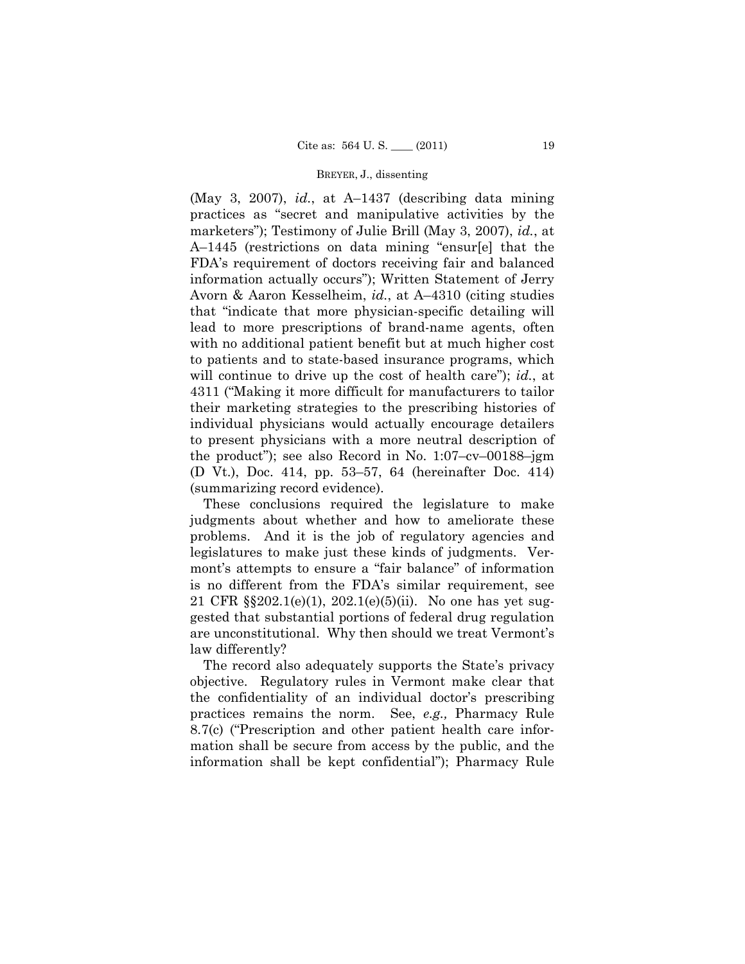(May 3, 2007), *id.*, at A–1437 (describing data mining practices as "secret and manipulative activities by the marketers"); Testimony of Julie Brill (May 3, 2007), *id.*, at A–1445 (restrictions on data mining "ensur[e] that the FDA's requirement of doctors receiving fair and balanced information actually occurs"); Written Statement of Jerry Avorn & Aaron Kesselheim, *id.*, at A–4310 (citing studies that "indicate that more physician-specific detailing will lead to more prescriptions of brand-name agents, often with no additional patient benefit but at much higher cost to patients and to state-based insurance programs, which will continue to drive up the cost of health care"); *id.*, at 4311 ("Making it more difficult for manufacturers to tailor their marketing strategies to the prescribing histories of individual physicians would actually encourage detailers to present physicians with a more neutral description of the product"); see also Record in No. 1:07–cv–00188–jgm (D Vt.), Doc. 414, pp. 53–57, 64 (hereinafter Doc. 414) (summarizing record evidence).

These conclusions required the legislature to make judgments about whether and how to ameliorate these problems. And it is the job of regulatory agencies and legislatures to make just these kinds of judgments. Vermont's attempts to ensure a "fair balance" of information is no different from the FDA's similar requirement, see 21 CFR §§202.1(e)(1), 202.1(e)(5)(ii). No one has yet suggested that substantial portions of federal drug regulation are unconstitutional. Why then should we treat Vermont's law differently?

The record also adequately supports the State's privacy objective. Regulatory rules in Vermont make clear that the confidentiality of an individual doctor's prescribing practices remains the norm. See, *e.g.,* Pharmacy Rule 8.7(c) ("Prescription and other patient health care information shall be secure from access by the public, and the information shall be kept confidential"); Pharmacy Rule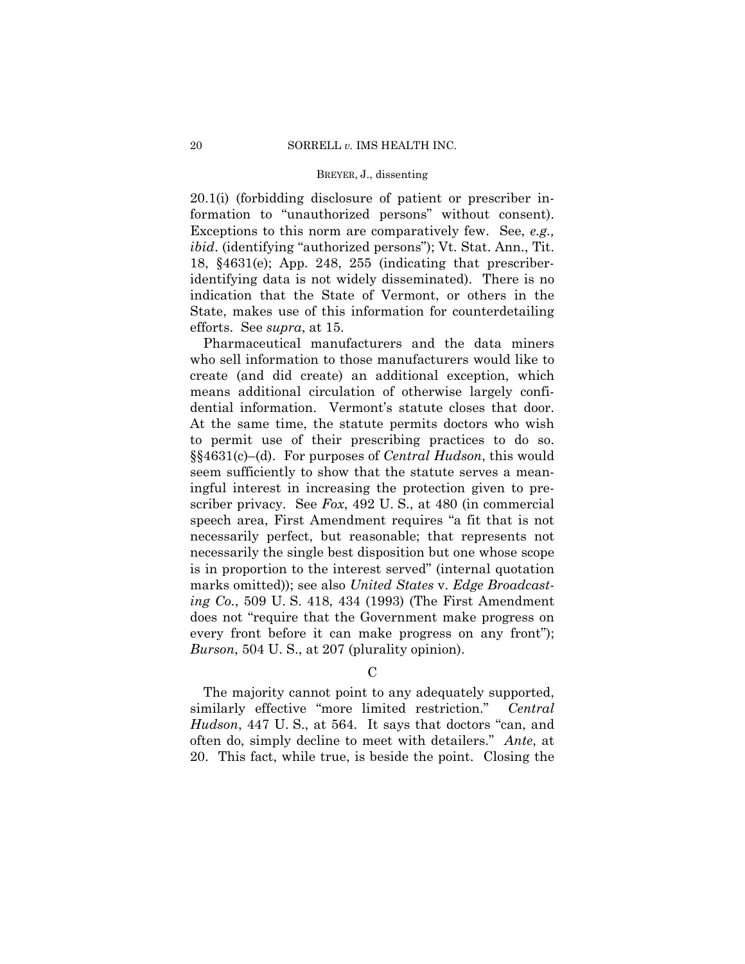20.1(i) (forbidding disclosure of patient or prescriber information to "unauthorized persons" without consent). Exceptions to this norm are comparatively few. See, *e.g., ibid.* (identifying "authorized persons"); Vt. Stat. Ann., Tit. 18, §4631(e); App. 248, 255 (indicating that prescriberidentifying data is not widely disseminated). There is no indication that the State of Vermont, or others in the State, makes use of this information for counterdetailing efforts. See *supra*, at 15.

Pharmaceutical manufacturers and the data miners who sell information to those manufacturers would like to create (and did create) an additional exception, which means additional circulation of otherwise largely confidential information. Vermont's statute closes that door. At the same time, the statute permits doctors who wish to permit use of their prescribing practices to do so. §§4631(c)–(d). For purposes of *Central Hudson*, this would seem sufficiently to show that the statute serves a meaningful interest in increasing the protection given to prescriber privacy. See *Fox*, 492 U. S., at 480 (in commercial speech area, First Amendment requires "a fit that is not necessarily perfect, but reasonable; that represents not necessarily the single best disposition but one whose scope is in proportion to the interest served" (internal quotation marks omitted)); see also *United States* v. *Edge Broadcasting Co.*, 509 U. S. 418, 434 (1993) (The First Amendment does not "require that the Government make progress on every front before it can make progress on any front"); *Burson*, 504 U. S., at 207 (plurality opinion).

C

The majority cannot point to any adequately supported, similarly effective "more limited restriction." *Central Hudson*, 447 U. S., at 564. It says that doctors "can, and often do, simply decline to meet with detailers." *Ante*, at 20. This fact, while true, is beside the point. Closing the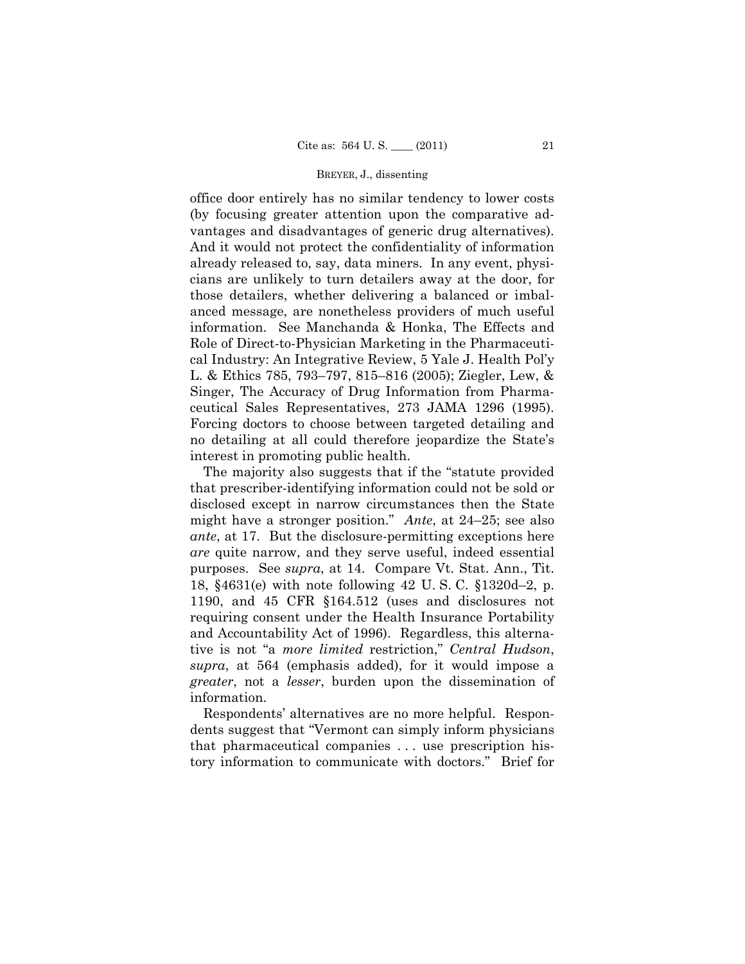office door entirely has no similar tendency to lower costs (by focusing greater attention upon the comparative advantages and disadvantages of generic drug alternatives). And it would not protect the confidentiality of information already released to, say, data miners. In any event, physicians are unlikely to turn detailers away at the door, for those detailers, whether delivering a balanced or imbalanced message, are nonetheless providers of much useful information. See Manchanda & Honka, The Effects and Role of Direct-to-Physician Marketing in the Pharmaceutical Industry: An Integrative Review, 5 Yale J. Health Pol'y L. & Ethics 785, 793–797, 815–816 (2005); Ziegler, Lew, & Singer, The Accuracy of Drug Information from Pharmaceutical Sales Representatives, 273 JAMA 1296 (1995). Forcing doctors to choose between targeted detailing and no detailing at all could therefore jeopardize the State's interest in promoting public health.

The majority also suggests that if the "statute provided that prescriber-identifying information could not be sold or disclosed except in narrow circumstances then the State might have a stronger position." *Ante*, at 24–25; see also *ante*, at 17. But the disclosure-permitting exceptions here *are* quite narrow, and they serve useful, indeed essential purposes. See *supra*, at 14. Compare Vt. Stat. Ann., Tit. 18, §4631(e) with note following 42 U. S. C. §1320d–2, p. 1190, and 45 CFR §164.512 (uses and disclosures not requiring consent under the Health Insurance Portability and Accountability Act of 1996). Regardless, this alternative is not "a *more limited* restriction," *Central Hudson*, *supra*, at 564 (emphasis added), for it would impose a *greater*, not a *lesser*, burden upon the dissemination of information.

Respondents' alternatives are no more helpful. Respondents suggest that "Vermont can simply inform physicians that pharmaceutical companies . . . use prescription history information to communicate with doctors." Brief for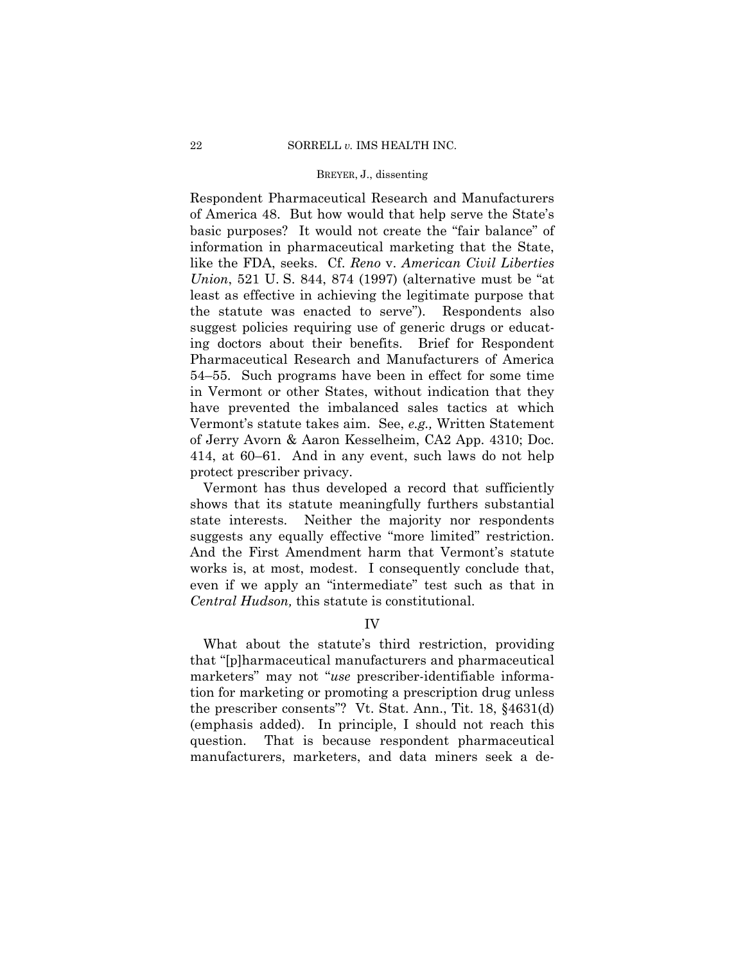Respondent Pharmaceutical Research and Manufacturers of America 48. But how would that help serve the State's basic purposes? It would not create the "fair balance" of information in pharmaceutical marketing that the State, like the FDA, seeks. Cf. *Reno* v. *American Civil Liberties Union*, 521 U. S. 844, 874 (1997) (alternative must be "at least as effective in achieving the legitimate purpose that the statute was enacted to serve"). Respondents also suggest policies requiring use of generic drugs or educating doctors about their benefits. Brief for Respondent Pharmaceutical Research and Manufacturers of America 54–55. Such programs have been in effect for some time in Vermont or other States, without indication that they have prevented the imbalanced sales tactics at which Vermont's statute takes aim. See, *e.g.,* Written Statement of Jerry Avorn & Aaron Kesselheim, CA2 App. 4310; Doc. 414, at 60–61. And in any event, such laws do not help protect prescriber privacy.

Vermont has thus developed a record that sufficiently shows that its statute meaningfully furthers substantial state interests. Neither the majority nor respondents suggests any equally effective "more limited" restriction. And the First Amendment harm that Vermont's statute works is, at most, modest. I consequently conclude that, even if we apply an "intermediate" test such as that in *Central Hudson,* this statute is constitutional.

# IV

What about the statute's third restriction, providing that "[p]harmaceutical manufacturers and pharmaceutical marketers" may not "*use* prescriber-identifiable information for marketing or promoting a prescription drug unless the prescriber consents"? Vt. Stat. Ann., Tit. 18, §4631(d) (emphasis added). In principle, I should not reach this question. That is because respondent pharmaceutical manufacturers, marketers, and data miners seek a de-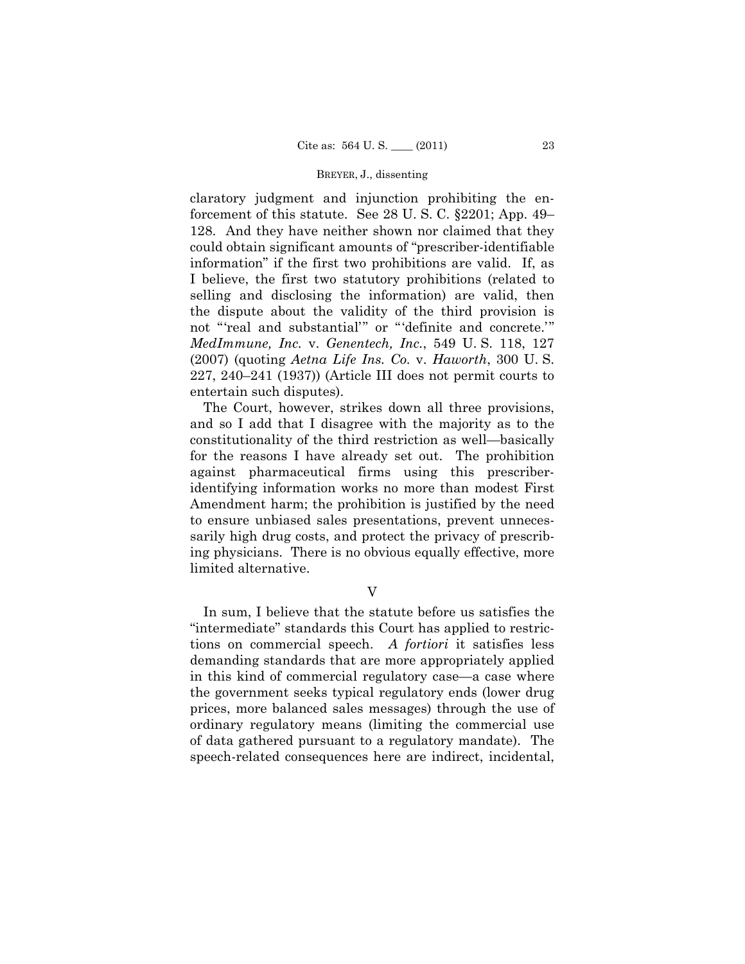claratory judgment and injunction prohibiting the enforcement of this statute. See 28 U. S. C. §2201; App. 49– 128. And they have neither shown nor claimed that they could obtain significant amounts of "prescriber-identifiable information" if the first two prohibitions are valid. If, as I believe, the first two statutory prohibitions (related to selling and disclosing the information) are valid, then the dispute about the validity of the third provision is not "'real and substantial'" or "'definite and concrete.'" *MedImmune, Inc.* v. *Genentech, Inc.*, 549 U. S. 118, 127 (2007) (quoting *Aetna Life Ins. Co.* v. *Haworth*, 300 U. S. 227, 240–241 (1937)) (Article III does not permit courts to entertain such disputes).

The Court, however, strikes down all three provisions, and so I add that I disagree with the majority as to the constitutionality of the third restriction as well—basically for the reasons I have already set out. The prohibition against pharmaceutical firms using this prescriberidentifying information works no more than modest First Amendment harm; the prohibition is justified by the need to ensure unbiased sales presentations, prevent unnecessarily high drug costs, and protect the privacy of prescribing physicians. There is no obvious equally effective, more limited alternative.

V

In sum, I believe that the statute before us satisfies the "intermediate" standards this Court has applied to restrictions on commercial speech. *A fortiori* it satisfies less demanding standards that are more appropriately applied in this kind of commercial regulatory case—a case where the government seeks typical regulatory ends (lower drug prices, more balanced sales messages) through the use of ordinary regulatory means (limiting the commercial use of data gathered pursuant to a regulatory mandate). The speech-related consequences here are indirect, incidental,